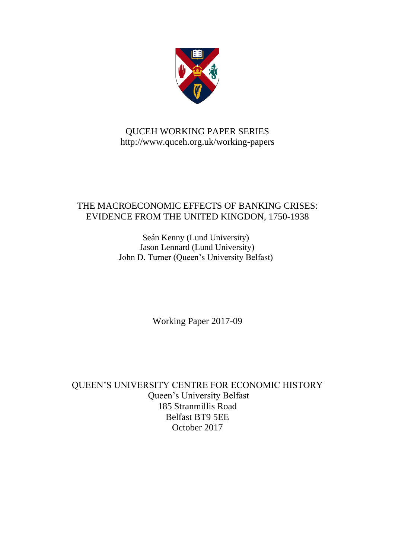

# QUCEH WORKING PAPER SERIES http://www.quceh.org.uk/working-papers

# THE MACROECONOMIC EFFECTS OF BANKING CRISES: EVIDENCE FROM THE UNITED KINGDON, 1750-1938

Seán Kenny (Lund University) Jason Lennard (Lund University) John D. Turner (Queen's University Belfast)

Working Paper 2017-09

QUEEN'S UNIVERSITY CENTRE FOR ECONOMIC HISTORY Queen's University Belfast 185 Stranmillis Road Belfast BT9 5EE October 2017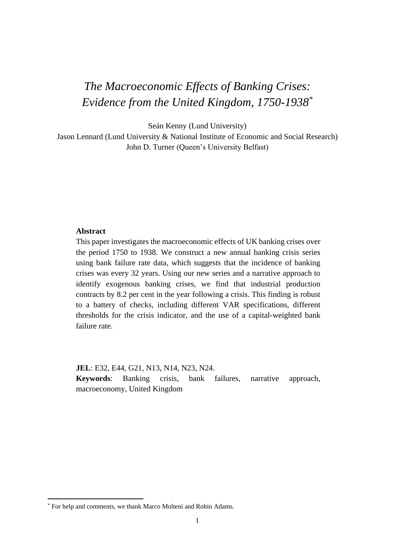# *The Macroeconomic Effects of Banking Crises: Evidence from the United Kingdom, 1750-1938\**

Seán Kenny (Lund University)

Jason Lennard (Lund University & National Institute of Economic and Social Research) John D. Turner (Queen's University Belfast)

## **Abstract**

This paper investigates the macroeconomic effects of UK banking crises over the period 1750 to 1938. We construct a new annual banking crisis series using bank failure rate data, which suggests that the incidence of banking crises was every 32 years. Using our new series and a narrative approach to identify exogenous banking crises, we find that industrial production contracts by 8.2 per cent in the year following a crisis. This finding is robust to a battery of checks, including different VAR specifications, different thresholds for the crisis indicator, and the use of a capital-weighted bank failure rate.

**JEL**: E32, E44, G21, N13, N14, N23, N24.

**Keywords**: Banking crisis, bank failures, narrative approach, macroeconomy, United Kingdom

**.** 

<sup>\*</sup> For help and comments, we thank Marco Molteni and Robin Adams.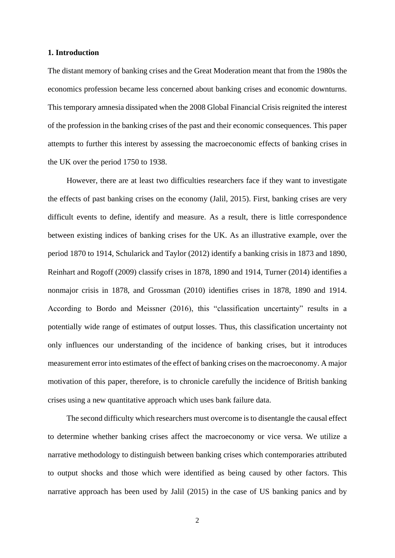## **1. Introduction**

The distant memory of banking crises and the Great Moderation meant that from the 1980s the economics profession became less concerned about banking crises and economic downturns. This temporary amnesia dissipated when the 2008 Global Financial Crisis reignited the interest of the profession in the banking crises of the past and their economic consequences. This paper attempts to further this interest by assessing the macroeconomic effects of banking crises in the UK over the period 1750 to 1938.

However, there are at least two difficulties researchers face if they want to investigate the effects of past banking crises on the economy (Jalil, 2015). First, banking crises are very difficult events to define, identify and measure. As a result, there is little correspondence between existing indices of banking crises for the UK. As an illustrative example, over the period 1870 to 1914, Schularick and Taylor (2012) identify a banking crisis in 1873 and 1890, Reinhart and Rogoff (2009) classify crises in 1878, 1890 and 1914, Turner (2014) identifies a nonmajor crisis in 1878, and Grossman (2010) identifies crises in 1878, 1890 and 1914. According to Bordo and Meissner (2016), this "classification uncertainty" results in a potentially wide range of estimates of output losses. Thus, this classification uncertainty not only influences our understanding of the incidence of banking crises, but it introduces measurement error into estimates of the effect of banking crises on the macroeconomy. A major motivation of this paper, therefore, is to chronicle carefully the incidence of British banking crises using a new quantitative approach which uses bank failure data.

The second difficulty which researchers must overcome is to disentangle the causal effect to determine whether banking crises affect the macroeconomy or vice versa. We utilize a narrative methodology to distinguish between banking crises which contemporaries attributed to output shocks and those which were identified as being caused by other factors. This narrative approach has been used by Jalil (2015) in the case of US banking panics and by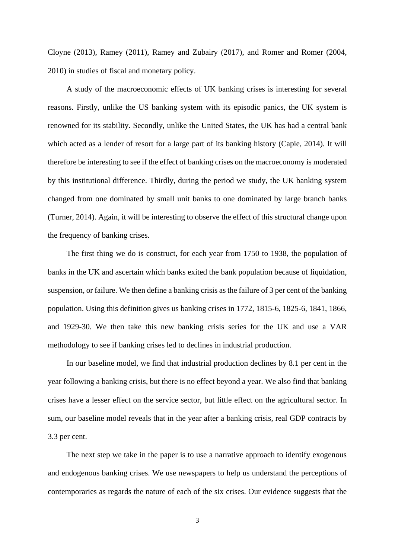Cloyne (2013), Ramey (2011), Ramey and Zubairy (2017), and Romer and Romer (2004, 2010) in studies of fiscal and monetary policy.

A study of the macroeconomic effects of UK banking crises is interesting for several reasons. Firstly, unlike the US banking system with its episodic panics, the UK system is renowned for its stability. Secondly, unlike the United States, the UK has had a central bank which acted as a lender of resort for a large part of its banking history (Capie, 2014). It will therefore be interesting to see if the effect of banking crises on the macroeconomy is moderated by this institutional difference. Thirdly, during the period we study, the UK banking system changed from one dominated by small unit banks to one dominated by large branch banks (Turner, 2014). Again, it will be interesting to observe the effect of this structural change upon the frequency of banking crises.

The first thing we do is construct, for each year from 1750 to 1938, the population of banks in the UK and ascertain which banks exited the bank population because of liquidation, suspension, or failure. We then define a banking crisis as the failure of 3 per cent of the banking population. Using this definition gives us banking crises in 1772, 1815-6, 1825-6, 1841, 1866, and 1929-30. We then take this new banking crisis series for the UK and use a VAR methodology to see if banking crises led to declines in industrial production.

In our baseline model, we find that industrial production declines by 8.1 per cent in the year following a banking crisis, but there is no effect beyond a year. We also find that banking crises have a lesser effect on the service sector, but little effect on the agricultural sector. In sum, our baseline model reveals that in the year after a banking crisis, real GDP contracts by 3.3 per cent.

The next step we take in the paper is to use a narrative approach to identify exogenous and endogenous banking crises. We use newspapers to help us understand the perceptions of contemporaries as regards the nature of each of the six crises. Our evidence suggests that the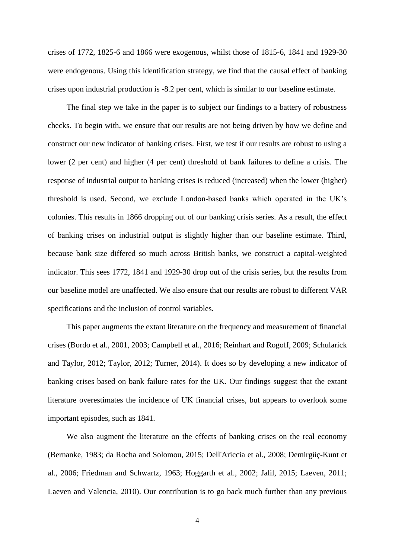crises of 1772, 1825-6 and 1866 were exogenous, whilst those of 1815-6, 1841 and 1929-30 were endogenous. Using this identification strategy, we find that the causal effect of banking crises upon industrial production is -8.2 per cent, which is similar to our baseline estimate.

The final step we take in the paper is to subject our findings to a battery of robustness checks. To begin with, we ensure that our results are not being driven by how we define and construct our new indicator of banking crises. First, we test if our results are robust to using a lower (2 per cent) and higher (4 per cent) threshold of bank failures to define a crisis. The response of industrial output to banking crises is reduced (increased) when the lower (higher) threshold is used. Second, we exclude London-based banks which operated in the UK's colonies. This results in 1866 dropping out of our banking crisis series. As a result, the effect of banking crises on industrial output is slightly higher than our baseline estimate. Third, because bank size differed so much across British banks, we construct a capital-weighted indicator. This sees 1772, 1841 and 1929-30 drop out of the crisis series, but the results from our baseline model are unaffected. We also ensure that our results are robust to different VAR specifications and the inclusion of control variables.

This paper augments the extant literature on the frequency and measurement of financial crises (Bordo et al., 2001, 2003; Campbell et al., 2016; Reinhart and Rogoff, 2009; Schularick and Taylor, 2012; Taylor, 2012; Turner, 2014). It does so by developing a new indicator of banking crises based on bank failure rates for the UK. Our findings suggest that the extant literature overestimates the incidence of UK financial crises, but appears to overlook some important episodes, such as 1841.

We also augment the literature on the effects of banking crises on the real economy (Bernanke, 1983; da Rocha and Solomou, 2015; Dell'Ariccia et al., 2008; Demirgüç-Kunt et al., 2006; Friedman and Schwartz, 1963; Hoggarth et al., 2002; Jalil, 2015; Laeven, 2011; Laeven and Valencia, 2010). Our contribution is to go back much further than any previous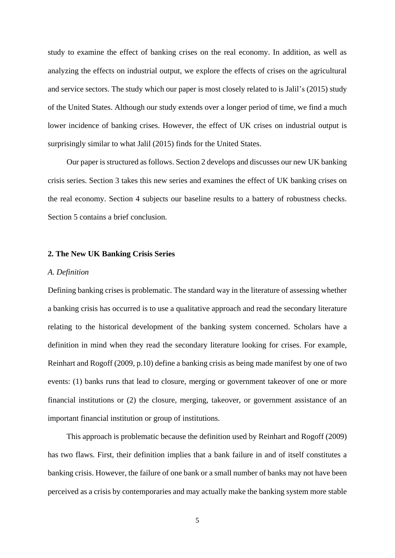study to examine the effect of banking crises on the real economy. In addition, as well as analyzing the effects on industrial output, we explore the effects of crises on the agricultural and service sectors. The study which our paper is most closely related to is Jalil's (2015) study of the United States. Although our study extends over a longer period of time, we find a much lower incidence of banking crises. However, the effect of UK crises on industrial output is surprisingly similar to what Jalil (2015) finds for the United States.

Our paper is structured as follows. Section 2 develops and discusses our new UK banking crisis series. Section 3 takes this new series and examines the effect of UK banking crises on the real economy. Section 4 subjects our baseline results to a battery of robustness checks. Section 5 contains a brief conclusion.

## **2. The New UK Banking Crisis Series**

## *A. Definition*

Defining banking crises is problematic. The standard way in the literature of assessing whether a banking crisis has occurred is to use a qualitative approach and read the secondary literature relating to the historical development of the banking system concerned. Scholars have a definition in mind when they read the secondary literature looking for crises. For example, Reinhart and Rogoff (2009, p.10) define a banking crisis as being made manifest by one of two events: (1) banks runs that lead to closure, merging or government takeover of one or more financial institutions or (2) the closure, merging, takeover, or government assistance of an important financial institution or group of institutions.

This approach is problematic because the definition used by Reinhart and Rogoff (2009) has two flaws. First, their definition implies that a bank failure in and of itself constitutes a banking crisis. However, the failure of one bank or a small number of banks may not have been perceived as a crisis by contemporaries and may actually make the banking system more stable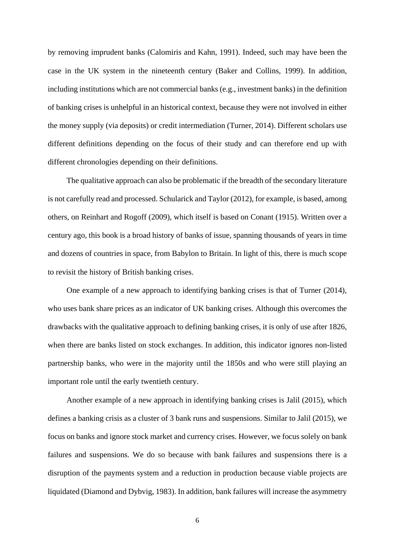by removing imprudent banks (Calomiris and Kahn, 1991). Indeed, such may have been the case in the UK system in the nineteenth century (Baker and Collins, 1999). In addition, including institutions which are not commercial banks (e.g., investment banks) in the definition of banking crises is unhelpful in an historical context, because they were not involved in either the money supply (via deposits) or credit intermediation (Turner, 2014). Different scholars use different definitions depending on the focus of their study and can therefore end up with different chronologies depending on their definitions.

The qualitative approach can also be problematic if the breadth of the secondary literature is not carefully read and processed. Schularick and Taylor (2012), for example, is based, among others, on Reinhart and Rogoff (2009), which itself is based on Conant (1915). Written over a century ago, this book is a broad history of banks of issue, spanning thousands of years in time and dozens of countries in space, from Babylon to Britain. In light of this, there is much scope to revisit the history of British banking crises.

One example of a new approach to identifying banking crises is that of Turner (2014), who uses bank share prices as an indicator of UK banking crises. Although this overcomes the drawbacks with the qualitative approach to defining banking crises, it is only of use after 1826, when there are banks listed on stock exchanges. In addition, this indicator ignores non-listed partnership banks, who were in the majority until the 1850s and who were still playing an important role until the early twentieth century.

Another example of a new approach in identifying banking crises is Jalil (2015), which defines a banking crisis as a cluster of 3 bank runs and suspensions. Similar to Jalil (2015), we focus on banks and ignore stock market and currency crises. However, we focus solely on bank failures and suspensions. We do so because with bank failures and suspensions there is a disruption of the payments system and a reduction in production because viable projects are liquidated (Diamond and Dybvig, 1983). In addition, bank failures will increase the asymmetry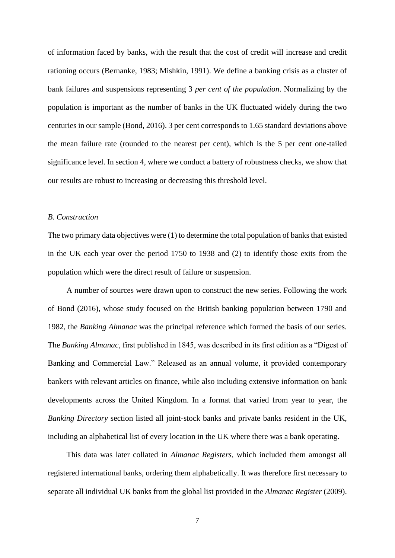of information faced by banks, with the result that the cost of credit will increase and credit rationing occurs (Bernanke, 1983; Mishkin, 1991). We define a banking crisis as a cluster of bank failures and suspensions representing 3 *per cent of the population*. Normalizing by the population is important as the number of banks in the UK fluctuated widely during the two centuries in our sample (Bond, 2016). 3 per cent corresponds to 1.65 standard deviations above the mean failure rate (rounded to the nearest per cent), which is the 5 per cent one-tailed significance level. In section 4, where we conduct a battery of robustness checks, we show that our results are robust to increasing or decreasing this threshold level.

## *B. Construction*

The two primary data objectives were (1) to determine the total population of banks that existed in the UK each year over the period 1750 to 1938 and (2) to identify those exits from the population which were the direct result of failure or suspension.

A number of sources were drawn upon to construct the new series. Following the work of Bond (2016), whose study focused on the British banking population between 1790 and 1982, the *Banking Almanac* was the principal reference which formed the basis of our series. The *Banking Almanac*, first published in 1845, was described in its first edition as a "Digest of Banking and Commercial Law." Released as an annual volume, it provided contemporary bankers with relevant articles on finance, while also including extensive information on bank developments across the United Kingdom. In a format that varied from year to year, the *Banking Directory* section listed all joint-stock banks and private banks resident in the UK, including an alphabetical list of every location in the UK where there was a bank operating.

This data was later collated in *Almanac Registers*, which included them amongst all registered international banks, ordering them alphabetically. It was therefore first necessary to separate all individual UK banks from the global list provided in the *Almanac Register* (2009).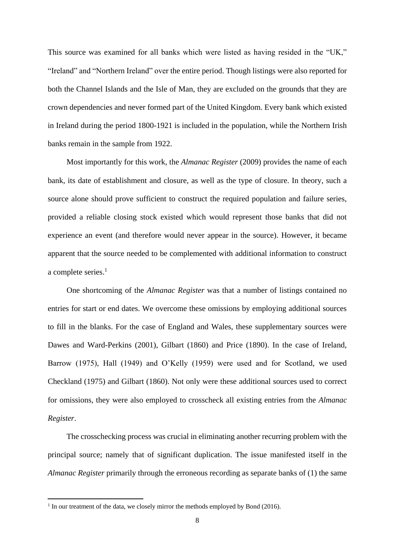This source was examined for all banks which were listed as having resided in the "UK," "Ireland" and "Northern Ireland" over the entire period. Though listings were also reported for both the Channel Islands and the Isle of Man, they are excluded on the grounds that they are crown dependencies and never formed part of the United Kingdom. Every bank which existed in Ireland during the period 1800-1921 is included in the population, while the Northern Irish banks remain in the sample from 1922.

Most importantly for this work, the *Almanac Register* (2009) provides the name of each bank, its date of establishment and closure, as well as the type of closure. In theory, such a source alone should prove sufficient to construct the required population and failure series, provided a reliable closing stock existed which would represent those banks that did not experience an event (and therefore would never appear in the source). However, it became apparent that the source needed to be complemented with additional information to construct a complete series.<sup>1</sup>

One shortcoming of the *Almanac Register* was that a number of listings contained no entries for start or end dates. We overcome these omissions by employing additional sources to fill in the blanks. For the case of England and Wales, these supplementary sources were Dawes and Ward-Perkins (2001), Gilbart (1860) and Price (1890). In the case of Ireland, Barrow (1975), Hall (1949) and O'Kelly (1959) were used and for Scotland, we used Checkland (1975) and Gilbart (1860). Not only were these additional sources used to correct for omissions, they were also employed to crosscheck all existing entries from the *Almanac Register*.

The crosschecking process was crucial in eliminating another recurring problem with the principal source; namely that of significant duplication. The issue manifested itself in the *Almanac Register* primarily through the erroneous recording as separate banks of (1) the same

**.** 

<sup>&</sup>lt;sup>1</sup> In our treatment of the data, we closely mirror the methods employed by Bond (2016).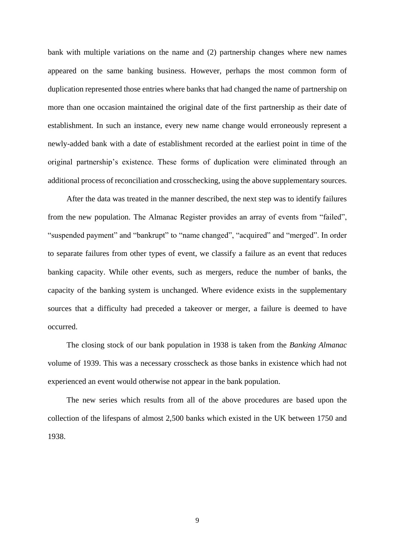bank with multiple variations on the name and (2) partnership changes where new names appeared on the same banking business. However, perhaps the most common form of duplication represented those entries where banks that had changed the name of partnership on more than one occasion maintained the original date of the first partnership as their date of establishment. In such an instance, every new name change would erroneously represent a newly-added bank with a date of establishment recorded at the earliest point in time of the original partnership's existence. These forms of duplication were eliminated through an additional process of reconciliation and crosschecking, using the above supplementary sources.

After the data was treated in the manner described, the next step was to identify failures from the new population. The Almanac Register provides an array of events from "failed", "suspended payment" and "bankrupt" to "name changed", "acquired" and "merged". In order to separate failures from other types of event, we classify a failure as an event that reduces banking capacity. While other events, such as mergers, reduce the number of banks, the capacity of the banking system is unchanged. Where evidence exists in the supplementary sources that a difficulty had preceded a takeover or merger, a failure is deemed to have occurred.

The closing stock of our bank population in 1938 is taken from the *Banking Almanac* volume of 1939. This was a necessary crosscheck as those banks in existence which had not experienced an event would otherwise not appear in the bank population.

The new series which results from all of the above procedures are based upon the collection of the lifespans of almost 2,500 banks which existed in the UK between 1750 and 1938.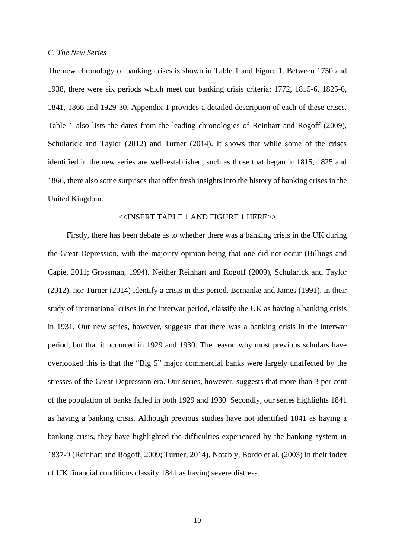#### *C. The New Series*

The new chronology of banking crises is shown in Table 1 and Figure 1. Between 1750 and 1938, there were six periods which meet our banking crisis criteria: 1772, 1815-6, 1825-6, 1841, 1866 and 1929-30. Appendix 1 provides a detailed description of each of these crises. Table 1 also lists the dates from the leading chronologies of Reinhart and Rogoff (2009), Schularick and Taylor (2012) and Turner (2014). It shows that while some of the crises identified in the new series are well-established, such as those that began in 1815, 1825 and 1866, there also some surprises that offer fresh insights into the history of banking crises in the United Kingdom.

## <<INSERT TABLE 1 AND FIGURE 1 HERE>>

Firstly, there has been debate as to whether there was a banking crisis in the UK during the Great Depression, with the majority opinion being that one did not occur (Billings and Capie, 2011; Grossman, 1994). Neither Reinhart and Rogoff (2009), Schularick and Taylor (2012), nor Turner (2014) identify a crisis in this period. Bernanke and James (1991), in their study of international crises in the interwar period, classify the UK as having a banking crisis in 1931. Our new series, however, suggests that there was a banking crisis in the interwar period, but that it occurred in 1929 and 1930. The reason why most previous scholars have overlooked this is that the "Big 5" major commercial banks were largely unaffected by the stresses of the Great Depression era. Our series, however, suggests that more than 3 per cent of the population of banks failed in both 1929 and 1930. Secondly, our series highlights 1841 as having a banking crisis. Although previous studies have not identified 1841 as having a banking crisis, they have highlighted the difficulties experienced by the banking system in 1837-9 (Reinhart and Rogoff, 2009; Turner, 2014). Notably, Bordo et al. (2003) in their index of UK financial conditions classify 1841 as having severe distress.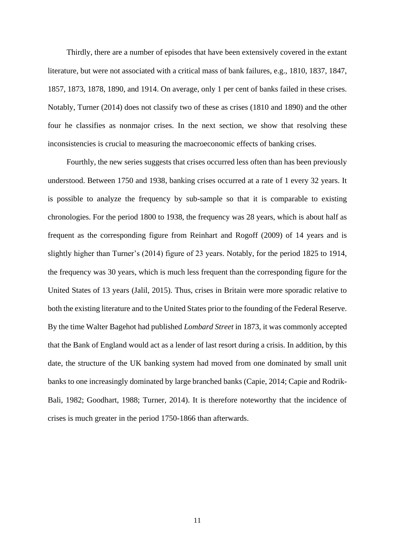Thirdly, there are a number of episodes that have been extensively covered in the extant literature, but were not associated with a critical mass of bank failures, e.g., 1810, 1837, 1847, 1857, 1873, 1878, 1890, and 1914. On average, only 1 per cent of banks failed in these crises. Notably, Turner (2014) does not classify two of these as crises (1810 and 1890) and the other four he classifies as nonmajor crises. In the next section, we show that resolving these inconsistencies is crucial to measuring the macroeconomic effects of banking crises.

Fourthly, the new series suggests that crises occurred less often than has been previously understood. Between 1750 and 1938, banking crises occurred at a rate of 1 every 32 years. It is possible to analyze the frequency by sub-sample so that it is comparable to existing chronologies. For the period 1800 to 1938, the frequency was 28 years, which is about half as frequent as the corresponding figure from Reinhart and Rogoff (2009) of 14 years and is slightly higher than Turner's (2014) figure of 23 years. Notably, for the period 1825 to 1914, the frequency was 30 years, which is much less frequent than the corresponding figure for the United States of 13 years (Jalil, 2015). Thus, crises in Britain were more sporadic relative to both the existing literature and to the United States prior to the founding of the Federal Reserve. By the time Walter Bagehot had published *Lombard Street* in 1873, it was commonly accepted that the Bank of England would act as a lender of last resort during a crisis. In addition, by this date, the structure of the UK banking system had moved from one dominated by small unit banks to one increasingly dominated by large branched banks (Capie, 2014; Capie and Rodrik-Bali, 1982; Goodhart, 1988; Turner, 2014). It is therefore noteworthy that the incidence of crises is much greater in the period 1750-1866 than afterwards.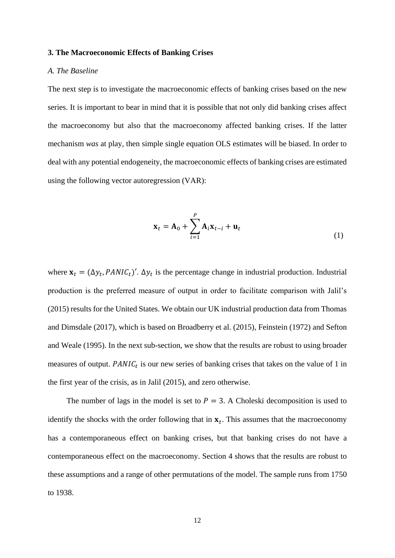## **3. The Macroeconomic Effects of Banking Crises**

## *A. The Baseline*

The next step is to investigate the macroeconomic effects of banking crises based on the new series. It is important to bear in mind that it is possible that not only did banking crises affect the macroeconomy but also that the macroeconomy affected banking crises. If the latter mechanism *was* at play, then simple single equation OLS estimates will be biased. In order to deal with any potential endogeneity, the macroeconomic effects of banking crises are estimated using the following vector autoregression (VAR):

$$
\mathbf{x}_t = \mathbf{A}_0 + \sum_{i=1}^P \mathbf{A}_i \mathbf{x}_{t-i} + \mathbf{u}_t
$$
 (1)

where  $\mathbf{x}_t = (\Delta y_t, PANIC_t)'$ .  $\Delta y_t$  is the percentage change in industrial production. Industrial production is the preferred measure of output in order to facilitate comparison with Jalil's (2015) results for the United States. We obtain our UK industrial production data from Thomas and Dimsdale (2017), which is based on Broadberry et al. (2015), Feinstein (1972) and Sefton and Weale (1995). In the next sub-section, we show that the results are robust to using broader measures of output.  $PANIC_t$  is our new series of banking crises that takes on the value of 1 in the first year of the crisis, as in Jalil (2015), and zero otherwise.

The number of lags in the model is set to  $P = 3$ . A Choleski decomposition is used to identify the shocks with the order following that in  $x_t$ . This assumes that the macroeconomy has a contemporaneous effect on banking crises, but that banking crises do not have a contemporaneous effect on the macroeconomy. Section 4 shows that the results are robust to these assumptions and a range of other permutations of the model. The sample runs from 1750 to 1938.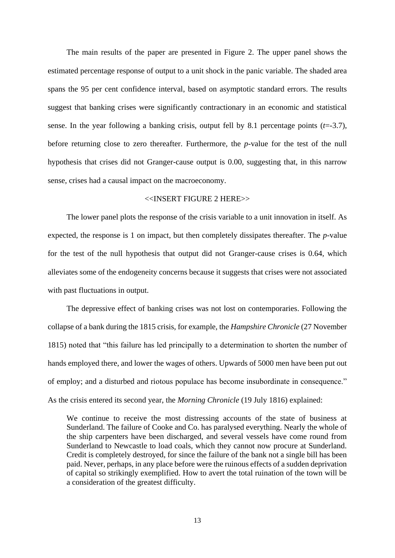The main results of the paper are presented in Figure 2. The upper panel shows the estimated percentage response of output to a unit shock in the panic variable. The shaded area spans the 95 per cent confidence interval, based on asymptotic standard errors. The results suggest that banking crises were significantly contractionary in an economic and statistical sense. In the year following a banking crisis, output fell by 8.1 percentage points (*t*=-3.7), before returning close to zero thereafter. Furthermore, the *p*-value for the test of the null hypothesis that crises did not Granger-cause output is 0.00, suggesting that, in this narrow sense, crises had a causal impact on the macroeconomy.

## <<INSERT FIGURE 2 HERE>>

The lower panel plots the response of the crisis variable to a unit innovation in itself. As expected, the response is 1 on impact, but then completely dissipates thereafter. The *p*-value for the test of the null hypothesis that output did not Granger-cause crises is 0.64, which alleviates some of the endogeneity concerns because it suggests that crises were not associated with past fluctuations in output.

The depressive effect of banking crises was not lost on contemporaries. Following the collapse of a bank during the 1815 crisis, for example, the *Hampshire Chronicle* (27 November 1815) noted that "this failure has led principally to a determination to shorten the number of hands employed there, and lower the wages of others. Upwards of 5000 men have been put out of employ; and a disturbed and riotous populace has become insubordinate in consequence." As the crisis entered its second year, the *Morning Chronicle* (19 July 1816) explained:

We continue to receive the most distressing accounts of the state of business at Sunderland. The failure of Cooke and Co. has paralysed everything. Nearly the whole of the ship carpenters have been discharged, and several vessels have come round from Sunderland to Newcastle to load coals, which they cannot now procure at Sunderland. Credit is completely destroyed, for since the failure of the bank not a single bill has been paid. Never, perhaps, in any place before were the ruinous effects of a sudden deprivation of capital so strikingly exemplified. How to avert the total ruination of the town will be a consideration of the greatest difficulty.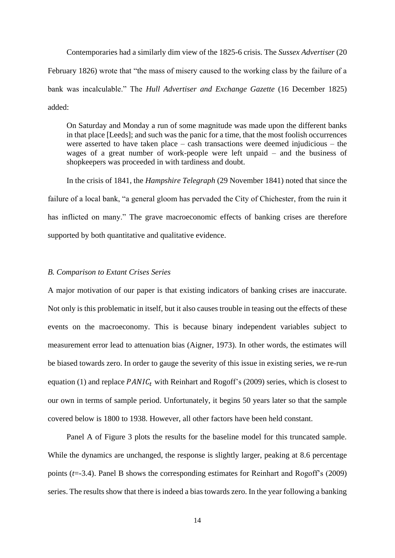Contemporaries had a similarly dim view of the 1825-6 crisis. The *Sussex Advertiser* (20 February 1826) wrote that "the mass of misery caused to the working class by the failure of a bank was incalculable." The *Hull Advertiser and Exchange Gazette* (16 December 1825) added:

On Saturday and Monday a run of some magnitude was made upon the different banks in that place [Leeds]; and such was the panic for a time, that the most foolish occurrences were asserted to have taken place – cash transactions were deemed injudicious – the wages of a great number of work-people were left unpaid – and the business of shopkeepers was proceeded in with tardiness and doubt.

In the crisis of 1841, the *Hampshire Telegraph* (29 November 1841) noted that since the failure of a local bank, "a general gloom has pervaded the City of Chichester, from the ruin it has inflicted on many." The grave macroeconomic effects of banking crises are therefore supported by both quantitative and qualitative evidence.

## *B. Comparison to Extant Crises Series*

A major motivation of our paper is that existing indicators of banking crises are inaccurate. Not only is this problematic in itself, but it also causes trouble in teasing out the effects of these events on the macroeconomy. This is because binary independent variables subject to measurement error lead to attenuation bias (Aigner, 1973). In other words, the estimates will be biased towards zero. In order to gauge the severity of this issue in existing series, we re-run equation (1) and replace  $PANIC_t$  with Reinhart and Rogoff's (2009) series, which is closest to our own in terms of sample period. Unfortunately, it begins 50 years later so that the sample covered below is 1800 to 1938. However, all other factors have been held constant.

Panel A of Figure 3 plots the results for the baseline model for this truncated sample. While the dynamics are unchanged, the response is slightly larger, peaking at 8.6 percentage points (*t*=-3.4). Panel B shows the corresponding estimates for Reinhart and Rogoff's (2009) series. The results show that there is indeed a bias towards zero. In the year following a banking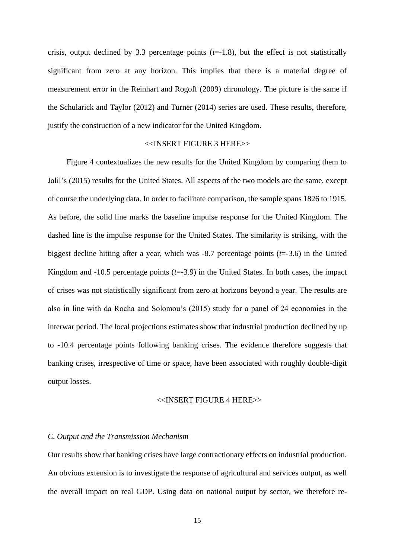crisis, output declined by 3.3 percentage points  $(t=1.8)$ , but the effect is not statistically significant from zero at any horizon. This implies that there is a material degree of measurement error in the Reinhart and Rogoff (2009) chronology. The picture is the same if the Schularick and Taylor (2012) and Turner (2014) series are used. These results, therefore, justify the construction of a new indicator for the United Kingdom.

## <<INSERT FIGURE 3 HERE>>

Figure 4 contextualizes the new results for the United Kingdom by comparing them to Jalil's (2015) results for the United States. All aspects of the two models are the same, except of course the underlying data. In order to facilitate comparison, the sample spans 1826 to 1915. As before, the solid line marks the baseline impulse response for the United Kingdom. The dashed line is the impulse response for the United States. The similarity is striking, with the biggest decline hitting after a year, which was -8.7 percentage points (*t*=-3.6) in the United Kingdom and  $-10.5$  percentage points  $(t=3.9)$  in the United States. In both cases, the impact of crises was not statistically significant from zero at horizons beyond a year. The results are also in line with da Rocha and Solomou's (2015) study for a panel of 24 economies in the interwar period. The local projections estimates show that industrial production declined by up to -10.4 percentage points following banking crises. The evidence therefore suggests that banking crises, irrespective of time or space, have been associated with roughly double-digit output losses.

#### <<INSERT FIGURE 4 HERE>>

#### *C. Output and the Transmission Mechanism*

Our results show that banking crises have large contractionary effects on industrial production. An obvious extension is to investigate the response of agricultural and services output, as well the overall impact on real GDP. Using data on national output by sector, we therefore re-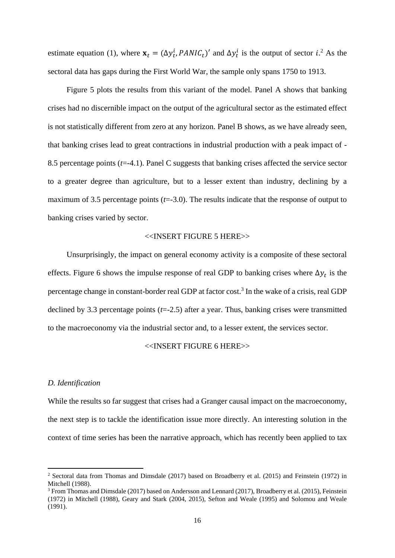estimate equation (1), where  $\mathbf{x}_t = (\Delta y_t^i, PANIC_t)'$  and  $\Delta y_t^i$  is the output of sector *i*.<sup>2</sup> As the sectoral data has gaps during the First World War, the sample only spans 1750 to 1913.

Figure 5 plots the results from this variant of the model. Panel A shows that banking crises had no discernible impact on the output of the agricultural sector as the estimated effect is not statistically different from zero at any horizon. Panel B shows, as we have already seen, that banking crises lead to great contractions in industrial production with a peak impact of - 8.5 percentage points (*t*=-4.1). Panel C suggests that banking crises affected the service sector to a greater degree than agriculture, but to a lesser extent than industry, declining by a maximum of 3.5 percentage points (*t*=-3.0). The results indicate that the response of output to banking crises varied by sector.

## <<INSERT FIGURE 5 HERE>>

Unsurprisingly, the impact on general economy activity is a composite of these sectoral effects. Figure 6 shows the impulse response of real GDP to banking crises where  $\Delta y_t$  is the percentage change in constant-border real GDP at factor cost.<sup>3</sup> In the wake of a crisis, real GDP declined by 3.3 percentage points (*t*=-2.5) after a year. Thus, banking crises were transmitted to the macroeconomy via the industrial sector and, to a lesser extent, the services sector.

#### <<INSERT FIGURE 6 HERE>>

#### *D. Identification*

**.** 

While the results so far suggest that crises had a Granger causal impact on the macroeconomy, the next step is to tackle the identification issue more directly. An interesting solution in the context of time series has been the narrative approach, which has recently been applied to tax

<sup>2</sup> Sectoral data from Thomas and Dimsdale (2017) based on Broadberry et al. (2015) and Feinstein (1972) in Mitchell (1988).

<sup>3</sup> From Thomas and Dimsdale (2017) based on Andersson and Lennard (2017), Broadberry et al. (2015), Feinstein (1972) in Mitchell (1988), Geary and Stark (2004, 2015), Sefton and Weale (1995) and Solomou and Weale (1991).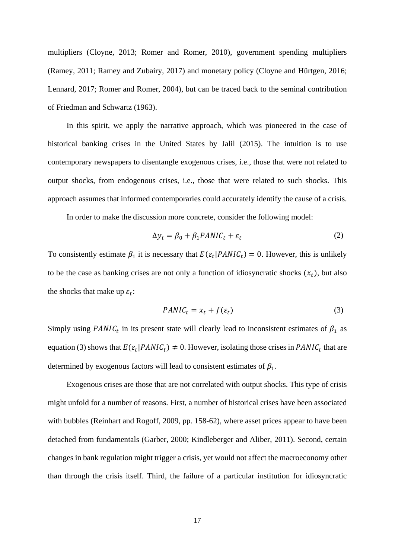multipliers (Cloyne, 2013; Romer and Romer, 2010), government spending multipliers (Ramey, 2011; Ramey and Zubairy, 2017) and monetary policy (Cloyne and Hürtgen, 2016; Lennard, 2017; Romer and Romer, 2004), but can be traced back to the seminal contribution of Friedman and Schwartz (1963).

In this spirit, we apply the narrative approach, which was pioneered in the case of historical banking crises in the United States by Jalil (2015). The intuition is to use contemporary newspapers to disentangle exogenous crises, i.e., those that were not related to output shocks, from endogenous crises, i.e., those that were related to such shocks. This approach assumes that informed contemporaries could accurately identify the cause of a crisis.

In order to make the discussion more concrete, consider the following model:

$$
\Delta y_t = \beta_0 + \beta_1 PANIC_t + \varepsilon_t \tag{2}
$$

To consistently estimate  $\beta_1$  it is necessary that  $E(\varepsilon_t | PANIC_t) = 0$ . However, this is unlikely to be the case as banking crises are not only a function of idiosyncratic shocks  $(x_t)$ , but also the shocks that make up  $\varepsilon_t$ :

$$
PANIC_t = x_t + f(\varepsilon_t) \tag{3}
$$

Simply using PANIC<sub>t</sub> in its present state will clearly lead to inconsistent estimates of  $\beta_1$  as equation (3) shows that  $E(\varepsilon_t | PANIC_t) \neq 0$ . However, isolating those crises in  $PANIC_t$  that are determined by exogenous factors will lead to consistent estimates of  $\beta_1$ .

Exogenous crises are those that are not correlated with output shocks. This type of crisis might unfold for a number of reasons. First, a number of historical crises have been associated with bubbles (Reinhart and Rogoff, 2009, pp. 158-62), where asset prices appear to have been detached from fundamentals (Garber, 2000; Kindleberger and Aliber, 2011). Second, certain changes in bank regulation might trigger a crisis, yet would not affect the macroeconomy other than through the crisis itself. Third, the failure of a particular institution for idiosyncratic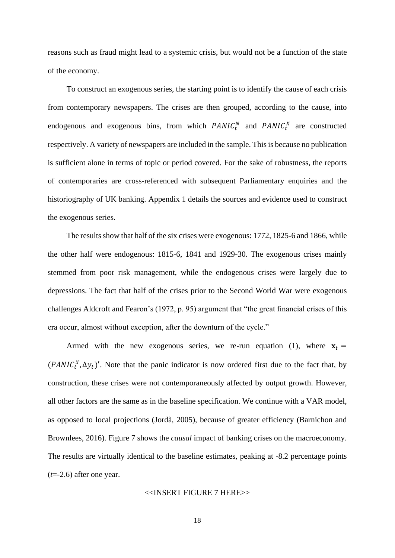reasons such as fraud might lead to a systemic crisis, but would not be a function of the state of the economy.

To construct an exogenous series, the starting point is to identify the cause of each crisis from contemporary newspapers. The crises are then grouped, according to the cause, into endogenous and exogenous bins, from which  $PANIC_t^N$  and  $PANIC_t^X$  are constructed respectively. A variety of newspapers are included in the sample. This is because no publication is sufficient alone in terms of topic or period covered. For the sake of robustness, the reports of contemporaries are cross-referenced with subsequent Parliamentary enquiries and the historiography of UK banking. Appendix 1 details the sources and evidence used to construct the exogenous series.

The results show that half of the six crises were exogenous: 1772, 1825-6 and 1866, while the other half were endogenous: 1815-6, 1841 and 1929-30. The exogenous crises mainly stemmed from poor risk management, while the endogenous crises were largely due to depressions. The fact that half of the crises prior to the Second World War were exogenous challenges Aldcroft and Fearon's (1972, p. 95) argument that "the great financial crises of this era occur, almost without exception, after the downturn of the cycle."

Armed with the new exogenous series, we re-run equation (1), where  $x_t =$  $(PANIC<sub>t</sub><sup>X</sup>, \Delta y<sub>t</sub>)'$ . Note that the panic indicator is now ordered first due to the fact that, by construction, these crises were not contemporaneously affected by output growth. However, all other factors are the same as in the baseline specification. We continue with a VAR model, as opposed to local projections (Jordà, 2005), because of greater efficiency (Barnichon and Brownlees, 2016). Figure 7 shows the *causal* impact of banking crises on the macroeconomy. The results are virtually identical to the baseline estimates, peaking at -8.2 percentage points (*t*=-2.6) after one year.

## <<INSERT FIGURE 7 HERE>>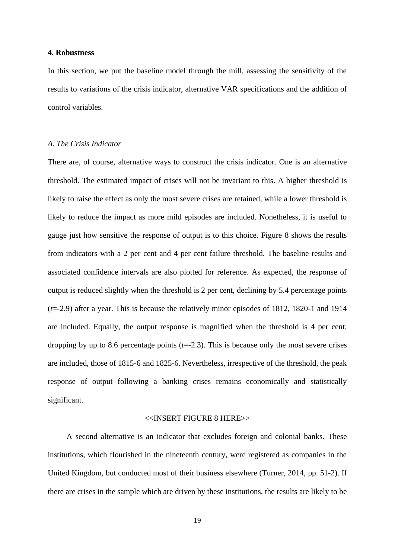## **4. Robustness**

In this section, we put the baseline model through the mill, assessing the sensitivity of the results to variations of the crisis indicator, alternative VAR specifications and the addition of control variables.

## *A. The Crisis Indicator*

There are, of course, alternative ways to construct the crisis indicator. One is an alternative threshold. The estimated impact of crises will not be invariant to this. A higher threshold is likely to raise the effect as only the most severe crises are retained, while a lower threshold is likely to reduce the impact as more mild episodes are included. Nonetheless, it is useful to gauge just how sensitive the response of output is to this choice. Figure 8 shows the results from indicators with a 2 per cent and 4 per cent failure threshold. The baseline results and associated confidence intervals are also plotted for reference. As expected, the response of output is reduced slightly when the threshold is 2 per cent, declining by 5.4 percentage points (*t*=-2.9) after a year. This is because the relatively minor episodes of 1812, 1820-1 and 1914 are included. Equally, the output response is magnified when the threshold is 4 per cent, dropping by up to 8.6 percentage points (*t*=-2.3). This is because only the most severe crises are included, those of 1815-6 and 1825-6. Nevertheless, irrespective of the threshold, the peak response of output following a banking crises remains economically and statistically significant.

## <<INSERT FIGURE 8 HERE>>

A second alternative is an indicator that excludes foreign and colonial banks. These institutions, which flourished in the nineteenth century, were registered as companies in the United Kingdom, but conducted most of their business elsewhere (Turner, 2014, pp. 51-2). If there are crises in the sample which are driven by these institutions, the results are likely to be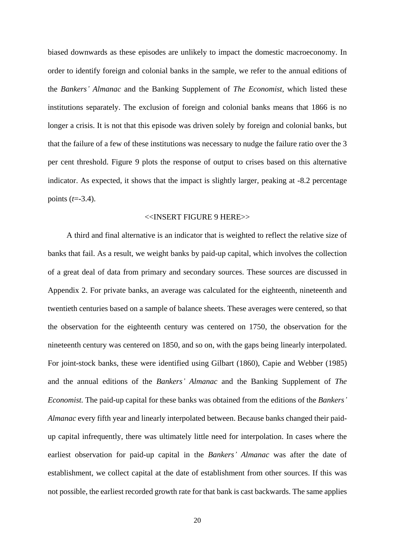biased downwards as these episodes are unlikely to impact the domestic macroeconomy. In order to identify foreign and colonial banks in the sample, we refer to the annual editions of the *Bankers' Almanac* and the Banking Supplement of *The Economist*, which listed these institutions separately. The exclusion of foreign and colonial banks means that 1866 is no longer a crisis. It is not that this episode was driven solely by foreign and colonial banks, but that the failure of a few of these institutions was necessary to nudge the failure ratio over the 3 per cent threshold. Figure 9 plots the response of output to crises based on this alternative indicator. As expected, it shows that the impact is slightly larger, peaking at -8.2 percentage points (*t*=-3.4).

#### <<INSERT FIGURE 9 HERE>>

A third and final alternative is an indicator that is weighted to reflect the relative size of banks that fail. As a result, we weight banks by paid-up capital, which involves the collection of a great deal of data from primary and secondary sources. These sources are discussed in Appendix 2. For private banks, an average was calculated for the eighteenth, nineteenth and twentieth centuries based on a sample of balance sheets. These averages were centered, so that the observation for the eighteenth century was centered on 1750, the observation for the nineteenth century was centered on 1850, and so on, with the gaps being linearly interpolated. For joint-stock banks, these were identified using Gilbart (1860), Capie and Webber (1985) and the annual editions of the *Bankers' Almanac* and the Banking Supplement of *The Economist.* The paid-up capital for these banks was obtained from the editions of the *Bankers' Almanac* every fifth year and linearly interpolated between. Because banks changed their paidup capital infrequently, there was ultimately little need for interpolation. In cases where the earliest observation for paid-up capital in the *Bankers' Almanac* was after the date of establishment, we collect capital at the date of establishment from other sources. If this was not possible, the earliest recorded growth rate for that bank is cast backwards. The same applies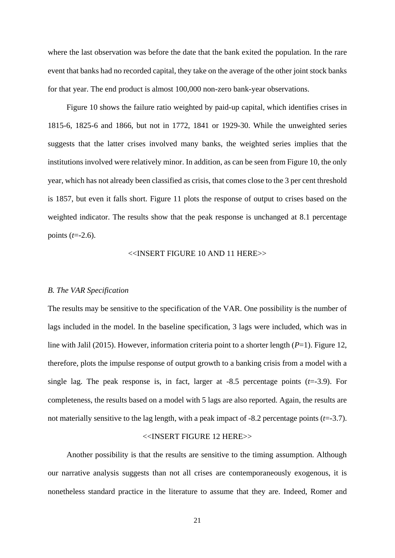where the last observation was before the date that the bank exited the population. In the rare event that banks had no recorded capital, they take on the average of the other joint stock banks for that year. The end product is almost 100,000 non-zero bank-year observations.

Figure 10 shows the failure ratio weighted by paid-up capital, which identifies crises in 1815-6, 1825-6 and 1866, but not in 1772, 1841 or 1929-30. While the unweighted series suggests that the latter crises involved many banks, the weighted series implies that the institutions involved were relatively minor. In addition, as can be seen from Figure 10, the only year, which has not already been classified as crisis, that comes close to the 3 per cent threshold is 1857, but even it falls short. Figure 11 plots the response of output to crises based on the weighted indicator. The results show that the peak response is unchanged at 8.1 percentage points (*t*=-2.6).

## <<INSERT FIGURE 10 AND 11 HERE>>

#### *B. The VAR Specification*

The results may be sensitive to the specification of the VAR. One possibility is the number of lags included in the model. In the baseline specification, 3 lags were included, which was in line with Jalil (2015). However, information criteria point to a shorter length (*P*=1). Figure 12, therefore, plots the impulse response of output growth to a banking crisis from a model with a single lag. The peak response is, in fact, larger at  $-8.5$  percentage points  $(t=3.9)$ . For completeness, the results based on a model with 5 lags are also reported. Again, the results are not materially sensitive to the lag length, with a peak impact of  $-8.2$  percentage points  $(t=3.7)$ .

#### <<INSERT FIGURE 12 HERE>>

Another possibility is that the results are sensitive to the timing assumption. Although our narrative analysis suggests than not all crises are contemporaneously exogenous, it is nonetheless standard practice in the literature to assume that they are. Indeed, Romer and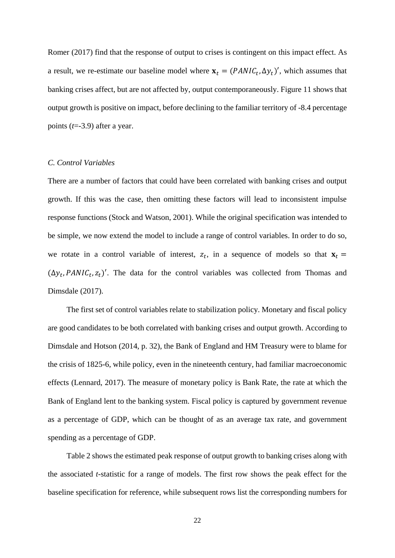Romer (2017) find that the response of output to crises is contingent on this impact effect. As a result, we re-estimate our baseline model where  $\mathbf{x}_t = (PANIC_t, \Delta y_t)'$ , which assumes that banking crises affect, but are not affected by, output contemporaneously. Figure 11 shows that output growth is positive on impact, before declining to the familiar territory of -8.4 percentage points (*t*=-3.9) after a year.

## *C. Control Variables*

There are a number of factors that could have been correlated with banking crises and output growth. If this was the case, then omitting these factors will lead to inconsistent impulse response functions (Stock and Watson, 2001). While the original specification was intended to be simple, we now extend the model to include a range of control variables. In order to do so, we rotate in a control variable of interest,  $z_t$ , in a sequence of models so that  $x_t =$  $(\Delta y_t, PANIC_t, z_t)'$ . The data for the control variables was collected from Thomas and Dimsdale (2017).

The first set of control variables relate to stabilization policy. Monetary and fiscal policy are good candidates to be both correlated with banking crises and output growth. According to Dimsdale and Hotson (2014, p. 32), the Bank of England and HM Treasury were to blame for the crisis of 1825-6, while policy, even in the nineteenth century, had familiar macroeconomic effects (Lennard, 2017). The measure of monetary policy is Bank Rate, the rate at which the Bank of England lent to the banking system. Fiscal policy is captured by government revenue as a percentage of GDP, which can be thought of as an average tax rate, and government spending as a percentage of GDP.

Table 2 shows the estimated peak response of output growth to banking crises along with the associated *t*-statistic for a range of models. The first row shows the peak effect for the baseline specification for reference, while subsequent rows list the corresponding numbers for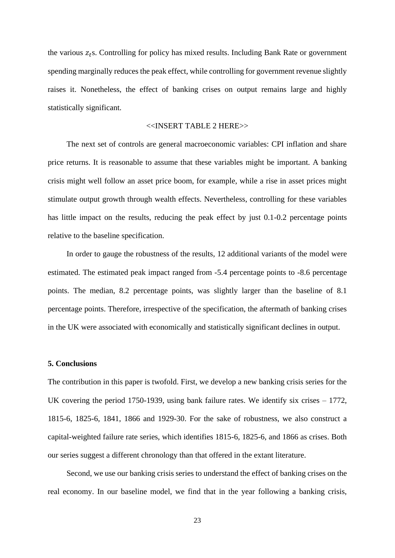the various  $z_t$ s. Controlling for policy has mixed results. Including Bank Rate or government spending marginally reduces the peak effect, while controlling for government revenue slightly raises it. Nonetheless, the effect of banking crises on output remains large and highly statistically significant.

## <<INSERT TABLE 2 HERE>>

The next set of controls are general macroeconomic variables: CPI inflation and share price returns. It is reasonable to assume that these variables might be important. A banking crisis might well follow an asset price boom, for example, while a rise in asset prices might stimulate output growth through wealth effects. Nevertheless, controlling for these variables has little impact on the results, reducing the peak effect by just 0.1-0.2 percentage points relative to the baseline specification.

In order to gauge the robustness of the results, 12 additional variants of the model were estimated. The estimated peak impact ranged from -5.4 percentage points to -8.6 percentage points. The median, 8.2 percentage points, was slightly larger than the baseline of 8.1 percentage points. Therefore, irrespective of the specification, the aftermath of banking crises in the UK were associated with economically and statistically significant declines in output.

#### **5. Conclusions**

The contribution in this paper is twofold. First, we develop a new banking crisis series for the UK covering the period 1750-1939, using bank failure rates. We identify six crises – 1772, 1815-6, 1825-6, 1841, 1866 and 1929-30. For the sake of robustness, we also construct a capital-weighted failure rate series, which identifies 1815-6, 1825-6, and 1866 as crises. Both our series suggest a different chronology than that offered in the extant literature.

Second, we use our banking crisis series to understand the effect of banking crises on the real economy. In our baseline model, we find that in the year following a banking crisis,

23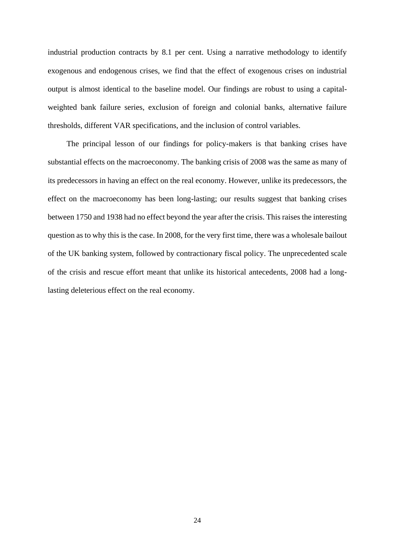industrial production contracts by 8.1 per cent. Using a narrative methodology to identify exogenous and endogenous crises, we find that the effect of exogenous crises on industrial output is almost identical to the baseline model. Our findings are robust to using a capitalweighted bank failure series, exclusion of foreign and colonial banks, alternative failure thresholds, different VAR specifications, and the inclusion of control variables.

The principal lesson of our findings for policy-makers is that banking crises have substantial effects on the macroeconomy. The banking crisis of 2008 was the same as many of its predecessors in having an effect on the real economy. However, unlike its predecessors, the effect on the macroeconomy has been long-lasting; our results suggest that banking crises between 1750 and 1938 had no effect beyond the year after the crisis. This raises the interesting question as to why this is the case. In 2008, for the very first time, there was a wholesale bailout of the UK banking system, followed by contractionary fiscal policy. The unprecedented scale of the crisis and rescue effort meant that unlike its historical antecedents, 2008 had a longlasting deleterious effect on the real economy.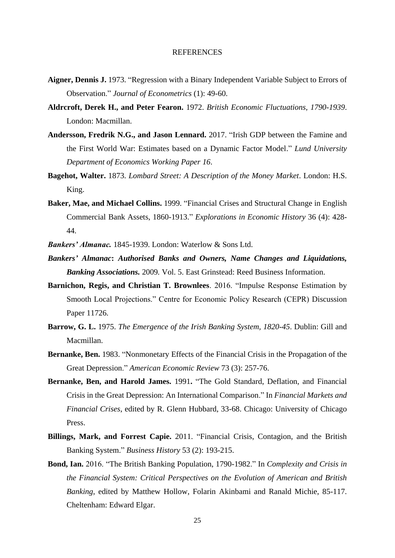#### REFERENCES

- **Aigner, Dennis J.** 1973. "Regression with a Binary Independent Variable Subject to Errors of Observation." *Journal of Econometrics* (1): 49-60.
- **Aldrcroft, Derek H., and Peter Fearon.** 1972. *British Economic Fluctuations, 1790-1939*. London: Macmillan.
- **Andersson, Fredrik N.G., and Jason Lennard.** 2017. "Irish GDP between the Famine and the First World War: Estimates based on a Dynamic Factor Model." *Lund University Department of Economics Working Paper 16*.
- **Bagehot, Walter.** 1873. *Lombard Street: A Description of the Money Market*. London: H.S. King.
- **Baker, Mae, and Michael Collins.** 1999. "Financial Crises and Structural Change in English Commercial Bank Assets, 1860-1913." *Explorations in Economic History* 36 (4): 428- 44.
- *Bankers' Almanac.* 1845-1939. London: Waterlow & Sons Ltd.
- *Bankers' Almanac***:** *Authorised Banks and Owners, Name Changes and Liquidations, Banking Associations.* 2009*.* Vol. 5. East Grinstead: Reed Business Information.
- **Barnichon, Regis, and Christian T. Brownlees**. 2016. "Impulse Response Estimation by Smooth Local Projections." Centre for Economic Policy Research (CEPR) Discussion Paper 11726.
- **Barrow, G. L.** 1975. *The Emergence of the Irish Banking System, 1820-45*. Dublin: Gill and Macmillan.
- **Bernanke, Ben.** 1983. "Nonmonetary Effects of the Financial Crisis in the Propagation of the Great Depression." *American Economic Review* 73 (3): 257-76.
- **Bernanke, Ben, and Harold James.** 1991**.** "The Gold Standard, Deflation, and Financial Crisis in the Great Depression: An International Comparison." In *Financial Markets and Financial Crises*, edited by R. Glenn Hubbard, 33-68. Chicago: University of Chicago Press.
- **Billings, Mark, and Forrest Capie.** 2011. "Financial Crisis, Contagion, and the British Banking System." *Business History* 53 (2): 193-215.
- **Bond, Ian.** 2016. "The British Banking Population, 1790-1982." In *Complexity and Crisis in the Financial System: Critical Perspectives on the Evolution of American and British Banking*, edited by Matthew Hollow, Folarin Akinbami and Ranald Michie, 85-117. Cheltenham: Edward Elgar.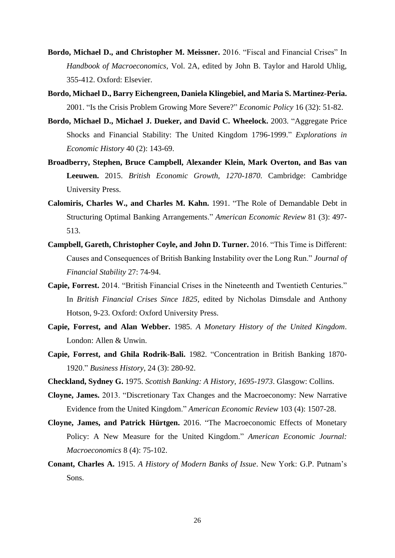- **Bordo, Michael D., and Christopher M. Meissner.** 2016. "Fiscal and Financial Crises" In *Handbook of Macroeconomics*, Vol. 2A, edited by John B. Taylor and Harold Uhlig, 355-412. Oxford: Elsevier.
- **Bordo, Michael D., Barry Eichengreen, Daniela Klingebiel, and Maria S. Martinez-Peria.** 2001. "Is the Crisis Problem Growing More Severe?" *Economic Policy* 16 (32): 51-82.
- **Bordo, Michael D., Michael J. Dueker, and David C. Wheelock.** 2003. "Aggregate Price Shocks and Financial Stability: The United Kingdom 1796-1999." *Explorations in Economic History* 40 (2): 143-69.
- **Broadberry, Stephen, Bruce Campbell, Alexander Klein, Mark Overton, and Bas van Leeuwen.** 2015. *British Economic Growth, 1270-1870*. Cambridge: Cambridge University Press.
- **Calomiris, Charles W., and Charles M. Kahn.** 1991. "The Role of Demandable Debt in Structuring Optimal Banking Arrangements." *American Economic Review* 81 (3): 497- 513.
- **Campbell, Gareth, Christopher Coyle, and John D. Turner.** 2016. "This Time is Different: Causes and Consequences of British Banking Instability over the Long Run." *Journal of Financial Stability* 27: 74-94.
- **Capie, Forrest.** 2014. "British Financial Crises in the Nineteenth and Twentieth Centuries." In *British Financial Crises Since 1825*, edited by Nicholas Dimsdale and Anthony Hotson, 9-23. Oxford: Oxford University Press.
- **Capie, Forrest, and Alan Webber.** 1985. *A Monetary History of the United Kingdom*. London: Allen & Unwin.
- **Capie, Forrest, and Ghila Rodrik-Bali.** 1982. "Concentration in British Banking 1870- 1920." *Business History*, 24 (3): 280-92.
- **Checkland, Sydney G.** 1975. *Scottish Banking: A History, 1695-1973*. Glasgow: Collins.
- **Cloyne, James.** 2013. "Discretionary Tax Changes and the Macroeconomy: New Narrative Evidence from the United Kingdom." *American Economic Review* 103 (4): 1507-28.
- **Cloyne, James, and Patrick Hürtgen.** 2016. "The Macroeconomic Effects of Monetary Policy: A New Measure for the United Kingdom." *American Economic Journal: Macroeconomics* 8 (4): 75-102.
- **Conant, Charles A.** 1915. *A History of Modern Banks of Issue*. New York: G.P. Putnam's Sons.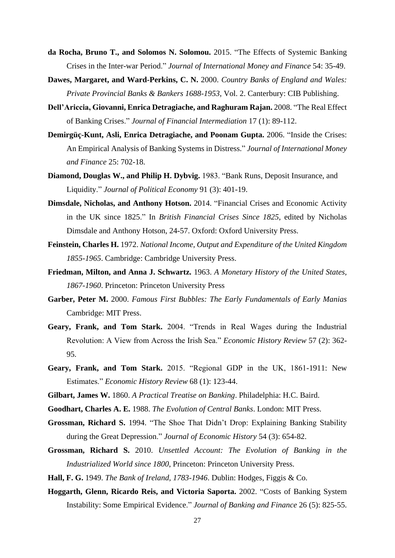- **da Rocha, Bruno T., and Solomos N. Solomou.** 2015. "The Effects of Systemic Banking Crises in the Inter-war Period." *Journal of International Money and Finance* 54: 35-49.
- **Dawes, Margaret, and Ward-Perkins, C. N.** 2000. *Country Banks of England and Wales: Private Provincial Banks & Bankers 1688-1953*, Vol. 2. Canterbury: CIB Publishing.
- **Dell'Ariccia, Giovanni, Enrica Detragiache, and Raghuram Rajan.** 2008. "The Real Effect of Banking Crises." *Journal of Financial Intermediation* 17 (1): 89-112.
- **Demirgüç-Kunt, Asli, Enrica Detragiache, and Poonam Gupta.** 2006. "Inside the Crises: An Empirical Analysis of Banking Systems in Distress." *Journal of International Money and Finance* 25: 702-18.
- **Diamond, Douglas W., and Philip H. Dybvig.** 1983. "Bank Runs, Deposit Insurance, and Liquidity." *Journal of Political Economy* 91 (3): 401-19.
- **Dimsdale, Nicholas, and Anthony Hotson.** 2014. "Financial Crises and Economic Activity in the UK since 1825." In *British Financial Crises Since 1825*, edited by Nicholas Dimsdale and Anthony Hotson, 24-57. Oxford: Oxford University Press.
- **Feinstein, Charles H.** 1972. *National Income, Output and Expenditure of the United Kingdom 1855-1965*. Cambridge: Cambridge University Press.
- **Friedman, Milton, and Anna J. Schwartz.** 1963. *A Monetary History of the United States, 1867-1960*. Princeton: Princeton University Press
- **Garber, Peter M.** 2000. *Famous First Bubbles: The Early Fundamentals of Early Manias* Cambridge: MIT Press.
- **Geary, Frank, and Tom Stark.** 2004. "Trends in Real Wages during the Industrial Revolution: A View from Across the Irish Sea." *Economic History Review* 57 (2): 362- 95.
- **Geary, Frank, and Tom Stark.** 2015. "Regional GDP in the UK, 1861-1911: New Estimates." *Economic History Review* 68 (1): 123-44.
- **Gilbart, James W.** 1860. *A Practical Treatise on Banking*. Philadelphia: H.C. Baird.
- **Goodhart, Charles A. E.** 1988. *The Evolution of Central Banks*. London: MIT Press.
- **Grossman, Richard S.** 1994. "The Shoe That Didn't Drop: Explaining Banking Stability during the Great Depression." *Journal of Economic History* 54 (3): 654-82.
- **Grossman, Richard S.** 2010. *Unsettled Account: The Evolution of Banking in the Industrialized World since 1800*, Princeton: Princeton University Press.
- **Hall, F. G.** 1949. *The Bank of Ireland, 1783-1946*. Dublin: Hodges, Figgis & Co.
- **Hoggarth, Glenn, Ricardo Reis, and Victoria Saporta.** 2002. "Costs of Banking System Instability: Some Empirical Evidence." *Journal of Banking and Finance* 26 (5): 825-55.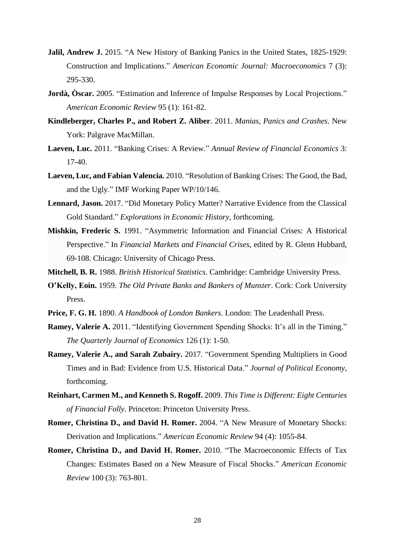- **Jalil, Andrew J.** 2015. "A New History of Banking Panics in the United States, 1825-1929: Construction and Implications." *American Economic Journal: Macroeconomics* 7 (3): 295-330.
- **Jordà, Òscar.** 2005. "Estimation and Inference of Impulse Responses by Local Projections." *American Economic Review* 95 (1): 161-82.
- **Kindleberger, Charles P., and Robert Z. Aliber**. 2011. *Manias, Panics and Crashes*. New York: Palgrave MacMillan.
- **Laeven, Luc.** 2011. "Banking Crises: A Review." *Annual Review of Financial Economics* 3: 17-40.
- **Laeven, Luc, and Fabian Valencia.** 2010. "Resolution of Banking Crises: The Good, the Bad, and the Ugly." IMF Working Paper WP/10/146.
- **Lennard, Jason.** 2017. "Did Monetary Policy Matter? Narrative Evidence from the Classical Gold Standard." *Explorations in Economic History*, forthcoming.
- **Mishkin, Frederic S.** 1991. "Asymmetric Information and Financial Crises: A Historical Perspective." In *Financial Markets and Financial Crises*, edited by R. Glenn Hubbard, 69-108. Chicago: University of Chicago Press.
- **Mitchell, B. R.** 1988. *British Historical Statistics*. Cambridge: Cambridge University Press.
- **O'Kelly, Eoin.** 1959. *The Old Private Banks and Bankers of Munster*. Cork: Cork University Press.
- **Price, F. G. H.** 1890. *A Handbook of London Bankers*. London: The Leadenhall Press.
- **Ramey, Valerie A.** 2011. "Identifying Government Spending Shocks: It's all in the Timing." *The Quarterly Journal of Economics* 126 (1): 1-50.
- **Ramey, Valerie A., and Sarah Zubairy.** 2017. "Government Spending Multipliers in Good Times and in Bad: Evidence from U.S. Historical Data." *Journal of Political Economy*, forthcoming.
- **Reinhart, Carmen M., and Kenneth S. Rogoff.** 2009. *This Time is Different: Eight Centuries of Financial Folly*. Princeton: Princeton University Press.
- **Romer, Christina D., and David H. Romer.** 2004. "A New Measure of Monetary Shocks: Derivation and Implications." *American Economic Review* 94 (4): 1055-84.
- **Romer, Christina D., and David H. Romer.** 2010. "The Macroeconomic Effects of Tax Changes: Estimates Based on a New Measure of Fiscal Shocks." *American Economic Review* 100 (3): 763-801.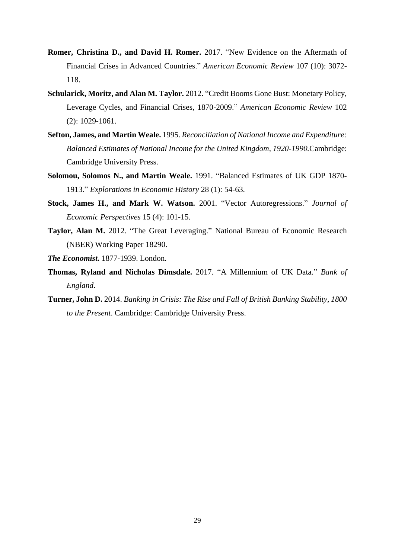- **Romer, Christina D., and David H. Romer.** 2017. "New Evidence on the Aftermath of Financial Crises in Advanced Countries." *American Economic Review* 107 (10): 3072- 118.
- **Schularick, Moritz, and Alan M. Taylor.** 2012. "Credit Booms Gone Bust: Monetary Policy, Leverage Cycles, and Financial Crises, 1870-2009." *American Economic Review* 102 (2): 1029-1061.
- **Sefton, James, and Martin Weale.** 1995. *Reconciliation of National Income and Expenditure: Balanced Estimates of National Income for the United Kingdom, 1920-1990.*Cambridge: Cambridge University Press.
- **Solomou, Solomos N., and Martin Weale.** 1991. "Balanced Estimates of UK GDP 1870- 1913." *Explorations in Economic History* 28 (1): 54-63.
- **Stock, James H., and Mark W. Watson.** 2001. "Vector Autoregressions." *Journal of Economic Perspectives* 15 (4): 101-15.
- **Taylor, Alan M.** 2012. "The Great Leveraging." National Bureau of Economic Research (NBER) Working Paper 18290.
- *The Economist***.** 1877-1939. London.
- **Thomas, Ryland and Nicholas Dimsdale.** 2017. "A Millennium of UK Data." *Bank of England*.
- **Turner, John D.** 2014. *Banking in Crisis: The Rise and Fall of British Banking Stability, 1800 to the Present*. Cambridge: Cambridge University Press.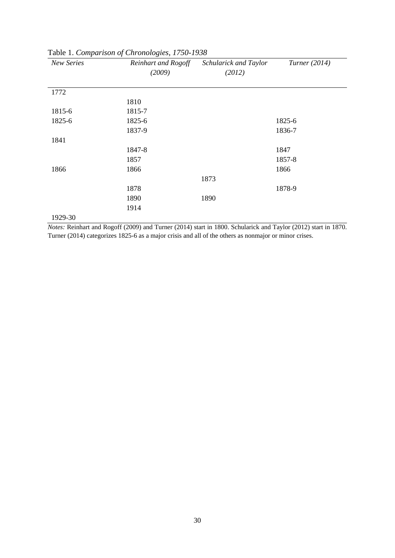| New Series | Reinhart and Rogoff | Schularick and Taylor | Turner (2014) |
|------------|---------------------|-----------------------|---------------|
|            | (2009)              | (2012)                |               |
|            |                     |                       |               |
| 1772       |                     |                       |               |
|            | 1810                |                       |               |
| 1815-6     | 1815-7              |                       |               |
| 1825-6     | 1825-6              |                       | 1825-6        |
|            | 1837-9              |                       | 1836-7        |
| 1841       |                     |                       |               |
|            | 1847-8              |                       | 1847          |
|            | 1857                |                       | 1857-8        |
| 1866       | 1866                |                       | 1866          |
|            |                     | 1873                  |               |
|            | 1878                |                       | 1878-9        |
|            | 1890                | 1890                  |               |
|            | 1914                |                       |               |
| 1929-30    |                     |                       |               |

Table 1. *Comparison of Chronologies, 1750-1938*

*Notes:* Reinhart and Rogoff (2009) and Turner (2014) start in 1800. Schularick and Taylor (2012) start in 1870. Turner (2014) categorizes 1825-6 as a major crisis and all of the others as nonmajor or minor crises.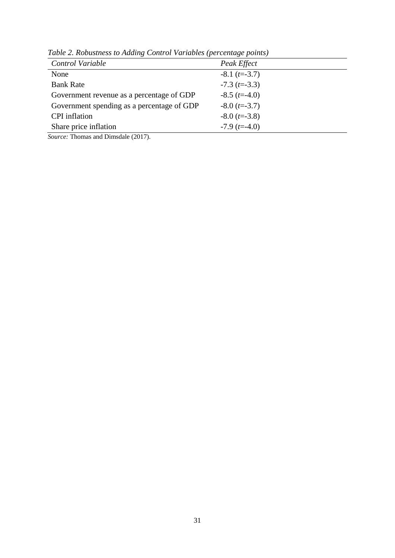| Control Variable                           | Peak Effect                  |
|--------------------------------------------|------------------------------|
| None                                       | $-8.1$ ( <i>t</i> =-3.7)     |
| <b>Bank Rate</b>                           | $-7.3$ (t= $-3.3$ )          |
| Government revenue as a percentage of GDP  | $-8.5$ ( <i>t</i> =-4.0)     |
| Government spending as a percentage of GDP | $-8.0$ ( <i>t</i> = $-3.7$ ) |
| <b>CPI</b> inflation                       | $-8.0$ ( <i>t</i> = $-3.8$ ) |
| Share price inflation                      | $-7.9$ (t=-4.0)              |
|                                            |                              |

*Table 2. Robustness to Adding Control Variables (percentage points)*

*Source:* Thomas and Dimsdale (2017).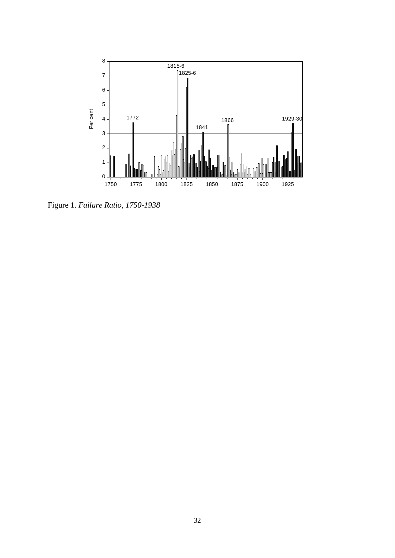

Figure 1. *Failure Ratio, 1750-1938*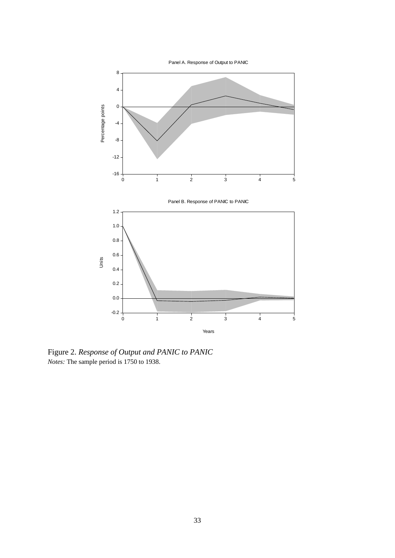

Figure 2. *Response of Output and PANIC to PANIC Notes:* The sample period is 1750 to 1938.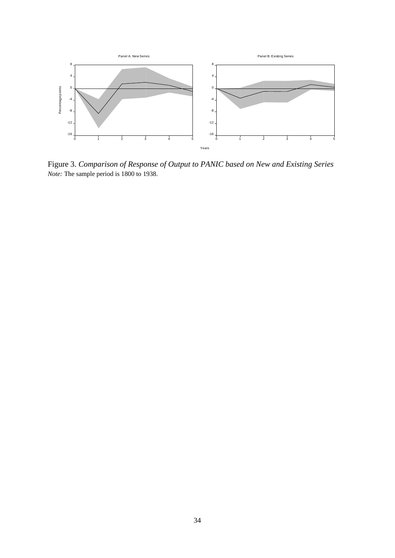

Figure 3. *Comparison of Response of Output to PANIC based on New and Existing Series Note:* The sample period is 1800 to 1938.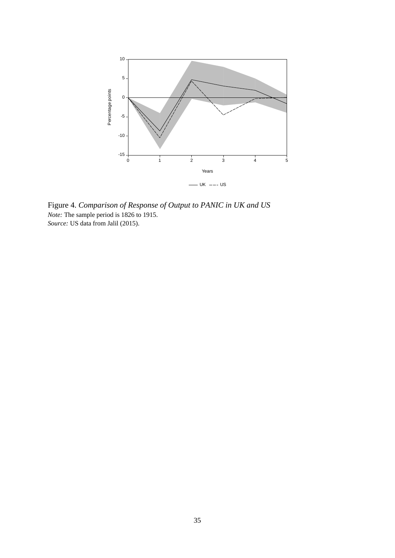

Figure 4. *Comparison of Response of Output to PANIC in UK and US Note:* The sample period is 1826 to 1915. *Source:* US data from Jalil (2015).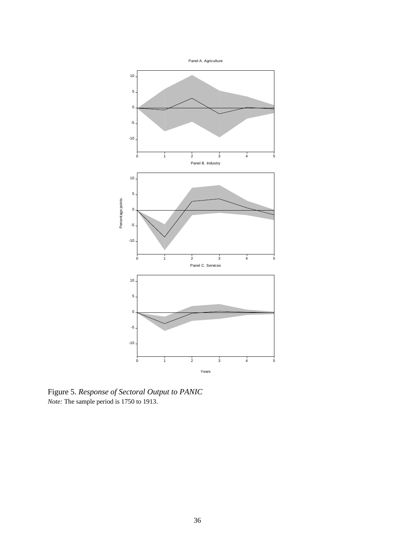

Figure 5. *Response of Sectoral Output to PANIC Note:* The sample period is 1750 to 1913.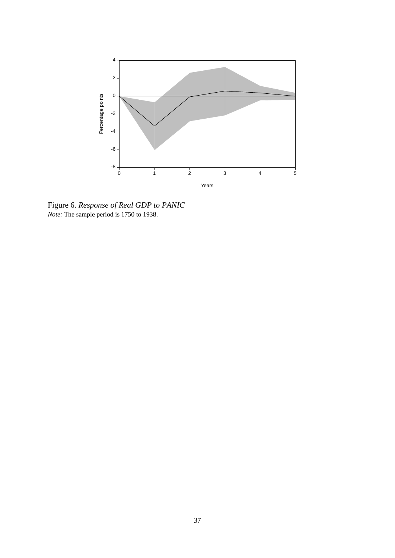

Figure 6. *Response of Real GDP to PANIC Note:* The sample period is 1750 to 1938.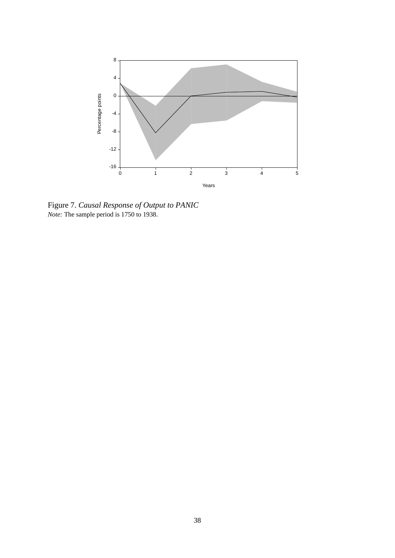

Figure 7. *Causal Response of Output to PANIC Note:* The sample period is 1750 to 1938.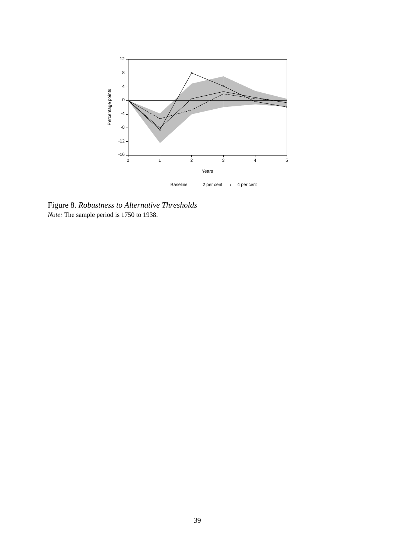

Figure 8. *Robustness to Alternative Thresholds Note:* The sample period is 1750 to 1938.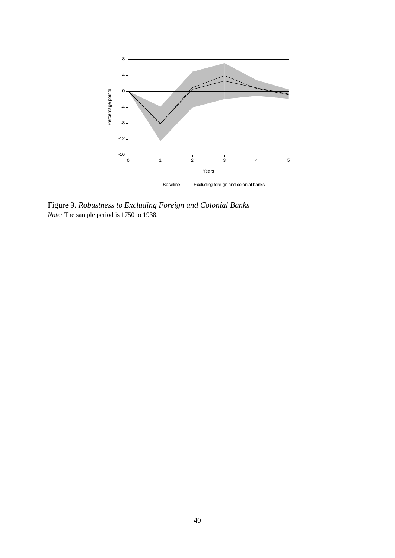

- Baseline --- Excluding foreign and colonial banks

Figure 9. *Robustness to Excluding Foreign and Colonial Banks Note:* The sample period is 1750 to 1938.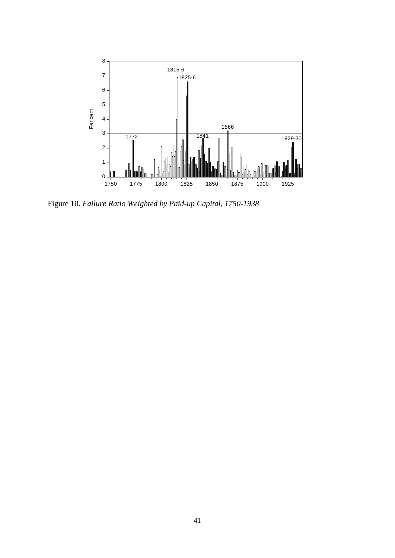

Figure 10. *Failure Ratio Weighted by Paid-up Capital, 1750-1938*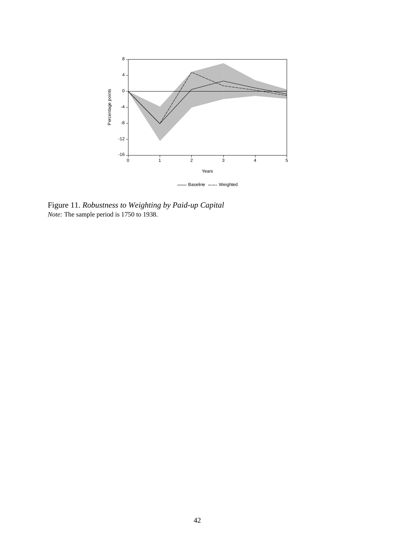

Figure 11. *Robustness to Weighting by Paid-up Capital Note:* The sample period is 1750 to 1938.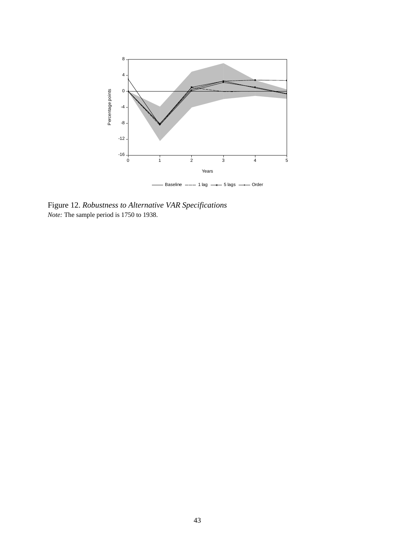

Figure 12. *Robustness to Alternative VAR Specifications Note:* The sample period is 1750 to 1938.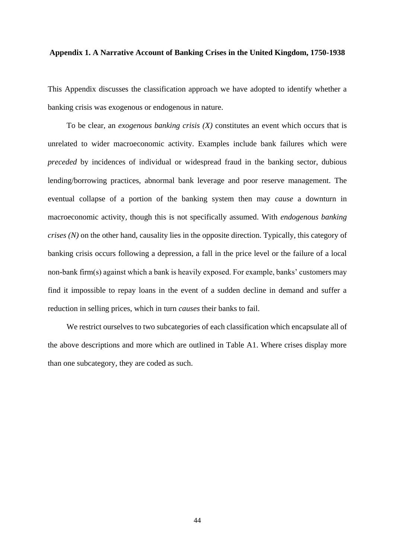## **Appendix 1. A Narrative Account of Banking Crises in the United Kingdom, 1750-1938**

This Appendix discusses the classification approach we have adopted to identify whether a banking crisis was exogenous or endogenous in nature.

To be clear, an *exogenous banking crisis (X)* constitutes an event which occurs that is unrelated to wider macroeconomic activity. Examples include bank failures which were *preceded* by incidences of individual or widespread fraud in the banking sector, dubious lending/borrowing practices, abnormal bank leverage and poor reserve management. The eventual collapse of a portion of the banking system then may *cause* a downturn in macroeconomic activity, though this is not specifically assumed. With *endogenous banking crises (N)* on the other hand, causality lies in the opposite direction. Typically, this category of banking crisis occurs following a depression, a fall in the price level or the failure of a local non-bank firm(s) against which a bank is heavily exposed. For example, banks' customers may find it impossible to repay loans in the event of a sudden decline in demand and suffer a reduction in selling prices, which in turn *causes* their banks to fail.

We restrict ourselves to two subcategories of each classification which encapsulate all of the above descriptions and more which are outlined in Table A1. Where crises display more than one subcategory, they are coded as such.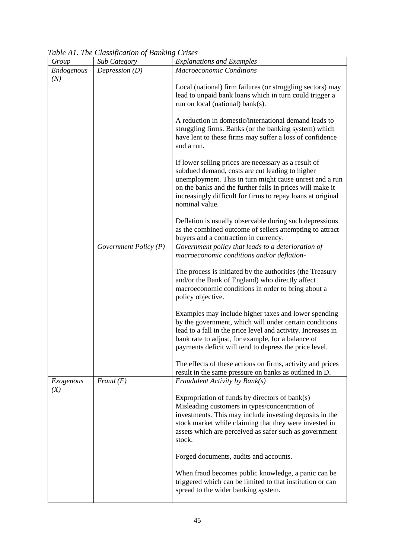| Group            | Table <i>T</i> H, The Classification of Danking Crises<br><b>Sub Category</b> | <b>Explanations and Examples</b>                                                                                                                                                                                                                                                                                            |
|------------------|-------------------------------------------------------------------------------|-----------------------------------------------------------------------------------------------------------------------------------------------------------------------------------------------------------------------------------------------------------------------------------------------------------------------------|
| Endogenous       | Depression $(D)$                                                              | <b>Macroeconomic Conditions</b>                                                                                                                                                                                                                                                                                             |
| (N)              |                                                                               | Local (national) firm failures (or struggling sectors) may<br>lead to unpaid bank loans which in turn could trigger a<br>run on local (national) bank(s).                                                                                                                                                                   |
|                  |                                                                               | A reduction in domestic/international demand leads to<br>struggling firms. Banks (or the banking system) which<br>have lent to these firms may suffer a loss of confidence<br>and a run.                                                                                                                                    |
|                  |                                                                               | If lower selling prices are necessary as a result of<br>subdued demand, costs are cut leading to higher<br>unemployment. This in turn might cause unrest and a run<br>on the banks and the further falls in prices will make it<br>increasingly difficult for firms to repay loans at original<br>nominal value.            |
|                  |                                                                               | Deflation is usually observable during such depressions<br>as the combined outcome of sellers attempting to attract<br>buyers and a contraction in currency.                                                                                                                                                                |
|                  | Government Policy $(P)$                                                       | Government policy that leads to a deterioration of<br>macroeconomic conditions and/or deflation-                                                                                                                                                                                                                            |
|                  |                                                                               | The process is initiated by the authorities (the Treasury<br>and/or the Bank of England) who directly affect<br>macroeconomic conditions in order to bring about a<br>policy objective.                                                                                                                                     |
|                  |                                                                               | Examples may include higher taxes and lower spending<br>by the government, which will under certain conditions<br>lead to a fall in the price level and activity. Increases in<br>bank rate to adjust, for example, for a balance of<br>payments deficit will tend to depress the price level.                              |
|                  |                                                                               | The effects of these actions on firms, activity and prices<br>result in the same pressure on banks as outlined in D.                                                                                                                                                                                                        |
| Exogenous<br>(X) | Fraud(F)                                                                      | Fraudulent Activity by Bank(s)<br>Expropriation of funds by directors of bank(s)<br>Misleading customers in types/concentration of<br>investments. This may include investing deposits in the<br>stock market while claiming that they were invested in<br>assets which are perceived as safer such as government<br>stock. |
|                  |                                                                               | Forged documents, audits and accounts.                                                                                                                                                                                                                                                                                      |
|                  |                                                                               | When fraud becomes public knowledge, a panic can be<br>triggered which can be limited to that institution or can<br>spread to the wider banking system.                                                                                                                                                                     |

*Table A1. The Classification of Banking Crises*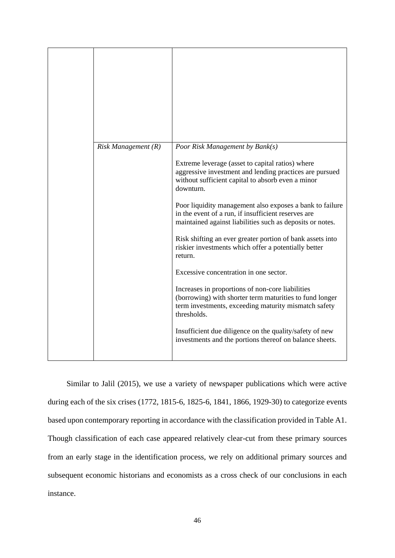| $Risk$ Management $(R)$ | Poor Risk Management by Bank(s)<br>Extreme leverage (asset to capital ratios) where<br>aggressive investment and lending practices are pursued<br>without sufficient capital to absorb even a minor<br>downturn.<br>Poor liquidity management also exposes a bank to failure<br>in the event of a run, if insufficient reserves are<br>maintained against liabilities such as deposits or notes.<br>Risk shifting an ever greater portion of bank assets into<br>riskier investments which offer a potentially better<br>return.<br>Excessive concentration in one sector.<br>Increases in proportions of non-core liabilities<br>(borrowing) with shorter term maturities to fund longer<br>term investments, exceeding maturity mismatch safety<br>thresholds. |
|-------------------------|------------------------------------------------------------------------------------------------------------------------------------------------------------------------------------------------------------------------------------------------------------------------------------------------------------------------------------------------------------------------------------------------------------------------------------------------------------------------------------------------------------------------------------------------------------------------------------------------------------------------------------------------------------------------------------------------------------------------------------------------------------------|
|                         | Insufficient due diligence on the quality/safety of new<br>investments and the portions thereof on balance sheets.                                                                                                                                                                                                                                                                                                                                                                                                                                                                                                                                                                                                                                               |

Similar to Jalil (2015), we use a variety of newspaper publications which were active during each of the six crises (1772, 1815-6, 1825-6, 1841, 1866, 1929-30) to categorize events based upon contemporary reporting in accordance with the classification provided in Table A1. Though classification of each case appeared relatively clear-cut from these primary sources from an early stage in the identification process, we rely on additional primary sources and subsequent economic historians and economists as a cross check of our conclusions in each instance.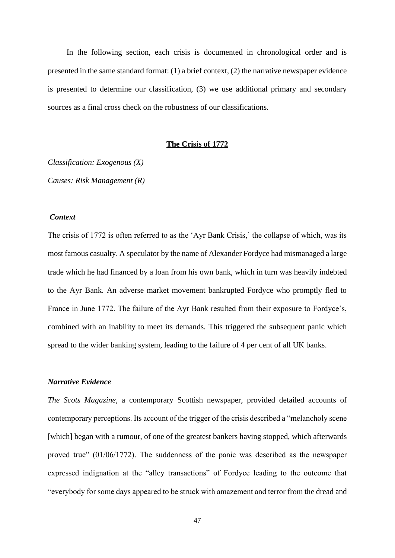In the following section, each crisis is documented in chronological order and is presented in the same standard format: (1) a brief context, (2) the narrative newspaper evidence is presented to determine our classification, (3) we use additional primary and secondary sources as a final cross check on the robustness of our classifications.

## **The Crisis of 1772**

*Classification: Exogenous (X) Causes: Risk Management (R)*

## *Context*

The crisis of 1772 is often referred to as the 'Ayr Bank Crisis,' the collapse of which, was its most famous casualty. A speculator by the name of Alexander Fordyce had mismanaged a large trade which he had financed by a loan from his own bank, which in turn was heavily indebted to the Ayr Bank. An adverse market movement bankrupted Fordyce who promptly fled to France in June 1772. The failure of the Ayr Bank resulted from their exposure to Fordyce's, combined with an inability to meet its demands. This triggered the subsequent panic which spread to the wider banking system, leading to the failure of 4 per cent of all UK banks.

## *Narrative Evidence*

*The Scots Magazine*, a contemporary Scottish newspaper, provided detailed accounts of contemporary perceptions. Its account of the trigger of the crisis described a "melancholy scene [which] began with a rumour, of one of the greatest bankers having stopped, which afterwards proved true" (01/06/1772). The suddenness of the panic was described as the newspaper expressed indignation at the "alley transactions" of Fordyce leading to the outcome that "everybody for some days appeared to be struck with amazement and terror from the dread and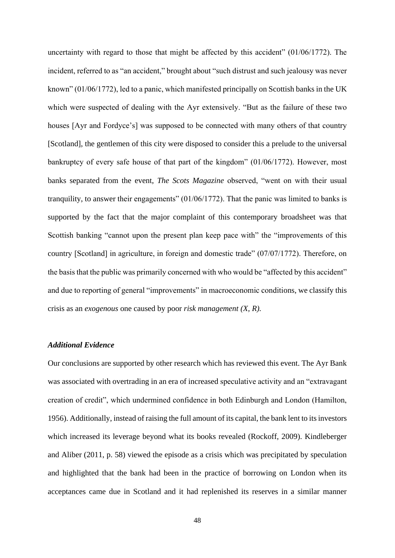uncertainty with regard to those that might be affected by this accident" (01/06/1772). The incident, referred to as "an accident," brought about "such distrust and such jealousy was never known" (01/06/1772), led to a panic, which manifested principally on Scottish banks in the UK which were suspected of dealing with the Ayr extensively. "But as the failure of these two houses [Ayr and Fordyce's] was supposed to be connected with many others of that country [Scotland], the gentlemen of this city were disposed to consider this a prelude to the universal bankruptcy of every safe house of that part of the kingdom" (01/06/1772). However, most banks separated from the event, *The Scots Magazine* observed, "went on with their usual tranquility, to answer their engagements" (01/06/1772). That the panic was limited to banks is supported by the fact that the major complaint of this contemporary broadsheet was that Scottish banking "cannot upon the present plan keep pace with" the "improvements of this country [Scotland] in agriculture, in foreign and domestic trade" (07/07/1772). Therefore, on the basis that the public was primarily concerned with who would be "affected by this accident" and due to reporting of general "improvements" in macroeconomic conditions, we classify this crisis as an *exogenous* one caused by poor *risk management (X, R).*

## *Additional Evidence*

Our conclusions are supported by other research which has reviewed this event. The Ayr Bank was associated with overtrading in an era of increased speculative activity and an "extravagant creation of credit", which undermined confidence in both Edinburgh and London (Hamilton, 1956). Additionally, instead of raising the full amount of its capital, the bank lent to its investors which increased its leverage beyond what its books revealed (Rockoff, 2009). Kindleberger and Aliber (2011, p. 58) viewed the episode as a crisis which was precipitated by speculation and highlighted that the bank had been in the practice of borrowing on London when its acceptances came due in Scotland and it had replenished its reserves in a similar manner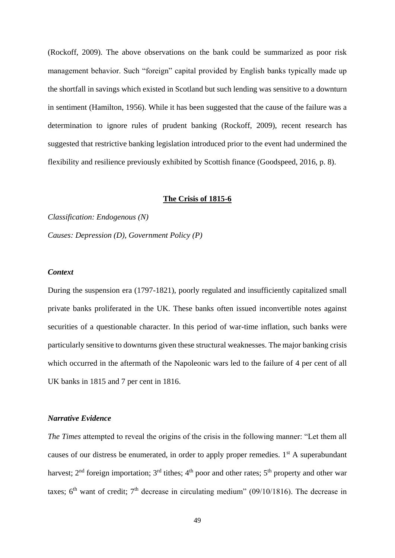(Rockoff, 2009). The above observations on the bank could be summarized as poor risk management behavior. Such "foreign" capital provided by English banks typically made up the shortfall in savings which existed in Scotland but such lending was sensitive to a downturn in sentiment (Hamilton, 1956). While it has been suggested that the cause of the failure was a determination to ignore rules of prudent banking (Rockoff, 2009), recent research has suggested that restrictive banking legislation introduced prior to the event had undermined the flexibility and resilience previously exhibited by Scottish finance (Goodspeed, 2016, p. 8).

## **The Crisis of 1815-6**

*Classification: Endogenous (N) Causes: Depression (D), Government Policy (P)*

## *Context*

During the suspension era (1797-1821), poorly regulated and insufficiently capitalized small private banks proliferated in the UK. These banks often issued inconvertible notes against securities of a questionable character. In this period of war-time inflation, such banks were particularly sensitive to downturns given these structural weaknesses. The major banking crisis which occurred in the aftermath of the Napoleonic wars led to the failure of 4 per cent of all UK banks in 1815 and 7 per cent in 1816.

## *Narrative Evidence*

*The Times* attempted to reveal the origins of the crisis in the following manner: "Let them all causes of our distress be enumerated, in order to apply proper remedies.  $1<sup>st</sup>$  A superabundant harvest;  $2<sup>nd</sup>$  foreign importation;  $3<sup>rd</sup>$  tithes;  $4<sup>th</sup>$  poor and other rates;  $5<sup>th</sup>$  property and other war taxes;  $6<sup>th</sup>$  want of credit;  $7<sup>th</sup>$  decrease in circulating medium" (09/10/1816). The decrease in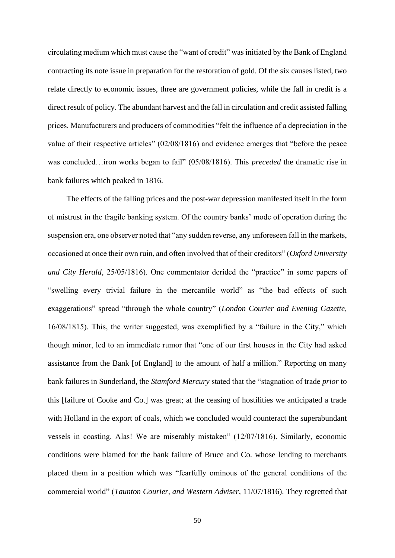circulating medium which must cause the "want of credit" was initiated by the Bank of England contracting its note issue in preparation for the restoration of gold. Of the six causes listed, two relate directly to economic issues, three are government policies, while the fall in credit is a direct result of policy. The abundant harvest and the fall in circulation and credit assisted falling prices. Manufacturers and producers of commodities "felt the influence of a depreciation in the value of their respective articles" (02/08/1816) and evidence emerges that "before the peace was concluded…iron works began to fail" (05/08/1816). This *preceded* the dramatic rise in bank failures which peaked in 1816.

The effects of the falling prices and the post-war depression manifested itself in the form of mistrust in the fragile banking system. Of the country banks' mode of operation during the suspension era, one observer noted that "any sudden reverse, any unforeseen fall in the markets, occasioned at once their own ruin, and often involved that of their creditors" (*Oxford University and City Herald*, 25/05/1816). One commentator derided the "practice" in some papers of "swelling every trivial failure in the mercantile world" as "the bad effects of such exaggerations" spread "through the whole country" (*London Courier and Evening Gazette*, 16/08/1815). This, the writer suggested, was exemplified by a "failure in the City," which though minor, led to an immediate rumor that "one of our first houses in the City had asked assistance from the Bank [of England] to the amount of half a million." Reporting on many bank failures in Sunderland, the *Stamford Mercury* stated that the "stagnation of trade *prior* to this [failure of Cooke and Co.] was great; at the ceasing of hostilities we anticipated a trade with Holland in the export of coals, which we concluded would counteract the superabundant vessels in coasting. Alas! We are miserably mistaken" (12/07/1816). Similarly, economic conditions were blamed for the bank failure of Bruce and Co. whose lending to merchants placed them in a position which was "fearfully ominous of the general conditions of the commercial world" (*Taunton Courier, and Western Adviser*, 11/07/1816). They regretted that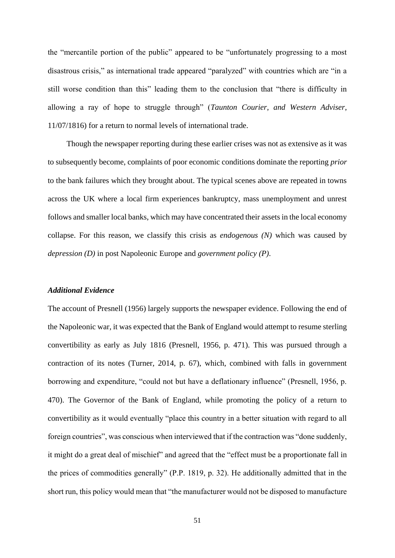the "mercantile portion of the public" appeared to be "unfortunately progressing to a most disastrous crisis," as international trade appeared "paralyzed" with countries which are "in a still worse condition than this" leading them to the conclusion that "there is difficulty in allowing a ray of hope to struggle through" (*Taunton Courier, and Western Adviser*, 11/07/1816) for a return to normal levels of international trade.

Though the newspaper reporting during these earlier crises was not as extensive as it was to subsequently become, complaints of poor economic conditions dominate the reporting *prior* to the bank failures which they brought about. The typical scenes above are repeated in towns across the UK where a local firm experiences bankruptcy, mass unemployment and unrest follows and smaller local banks, which may have concentrated their assets in the local economy collapse. For this reason, we classify this crisis as *endogenous (N)* which was caused by *depression (D)* in post Napoleonic Europe and *government policy (P)*.

## *Additional Evidence*

The account of Presnell (1956) largely supports the newspaper evidence. Following the end of the Napoleonic war, it was expected that the Bank of England would attempt to resume sterling convertibility as early as July 1816 (Presnell, 1956, p. 471). This was pursued through a contraction of its notes (Turner, 2014, p. 67), which, combined with falls in government borrowing and expenditure, "could not but have a deflationary influence" (Presnell, 1956, p. 470). The Governor of the Bank of England, while promoting the policy of a return to convertibility as it would eventually "place this country in a better situation with regard to all foreign countries", was conscious when interviewed that if the contraction was "done suddenly, it might do a great deal of mischief" and agreed that the "effect must be a proportionate fall in the prices of commodities generally" (P.P. 1819, p. 32). He additionally admitted that in the short run, this policy would mean that "the manufacturer would not be disposed to manufacture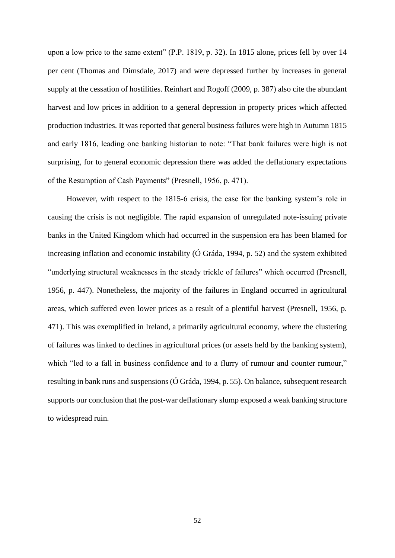upon a low price to the same extent" (P.P. 1819, p. 32). In 1815 alone, prices fell by over 14 per cent (Thomas and Dimsdale, 2017) and were depressed further by increases in general supply at the cessation of hostilities. Reinhart and Rogoff (2009, p. 387) also cite the abundant harvest and low prices in addition to a general depression in property prices which affected production industries. It was reported that general business failures were high in Autumn 1815 and early 1816, leading one banking historian to note: "That bank failures were high is not surprising, for to general economic depression there was added the deflationary expectations of the Resumption of Cash Payments" (Presnell, 1956, p. 471).

However, with respect to the 1815-6 crisis, the case for the banking system's role in causing the crisis is not negligible. The rapid expansion of unregulated note-issuing private banks in the United Kingdom which had occurred in the suspension era has been blamed for increasing inflation and economic instability (Ó Gráda, 1994, p. 52) and the system exhibited "underlying structural weaknesses in the steady trickle of failures" which occurred (Presnell, 1956, p. 447). Nonetheless, the majority of the failures in England occurred in agricultural areas, which suffered even lower prices as a result of a plentiful harvest (Presnell, 1956, p. 471). This was exemplified in Ireland, a primarily agricultural economy, where the clustering of failures was linked to declines in agricultural prices (or assets held by the banking system), which "led to a fall in business confidence and to a flurry of rumour and counter rumour," resulting in bank runs and suspensions (Ó Gráda, 1994, p. 55). On balance, subsequent research supports our conclusion that the post-war deflationary slump exposed a weak banking structure to widespread ruin.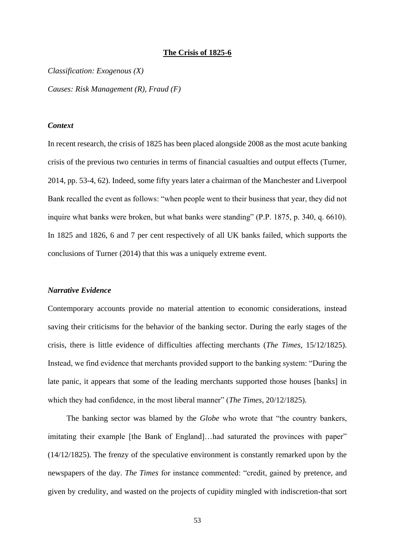## **The Crisis of 1825-6**

*Classification: Exogenous (X)*

*Causes: Risk Management (R), Fraud (F)*

## *Context*

In recent research, the crisis of 1825 has been placed alongside 2008 as the most acute banking crisis of the previous two centuries in terms of financial casualties and output effects (Turner, 2014, pp. 53-4, 62). Indeed, some fifty years later a chairman of the Manchester and Liverpool Bank recalled the event as follows: "when people went to their business that year, they did not inquire what banks were broken, but what banks were standing" (P.P. 1875, p. 340, q. 6610). In 1825 and 1826, 6 and 7 per cent respectively of all UK banks failed, which supports the conclusions of Turner (2014) that this was a uniquely extreme event.

## *Narrative Evidence*

Contemporary accounts provide no material attention to economic considerations, instead saving their criticisms for the behavior of the banking sector. During the early stages of the crisis, there is little evidence of difficulties affecting merchants (*The Times*, 15/12/1825). Instead, we find evidence that merchants provided support to the banking system: "During the late panic, it appears that some of the leading merchants supported those houses [banks] in which they had confidence, in the most liberal manner" (*The Times*, 20/12/1825).

The banking sector was blamed by the *Globe* who wrote that "the country bankers, imitating their example [the Bank of England]…had saturated the provinces with paper" (14/12/1825). The frenzy of the speculative environment is constantly remarked upon by the newspapers of the day. *The Times* for instance commented: "credit, gained by pretence, and given by credulity, and wasted on the projects of cupidity mingled with indiscretion-that sort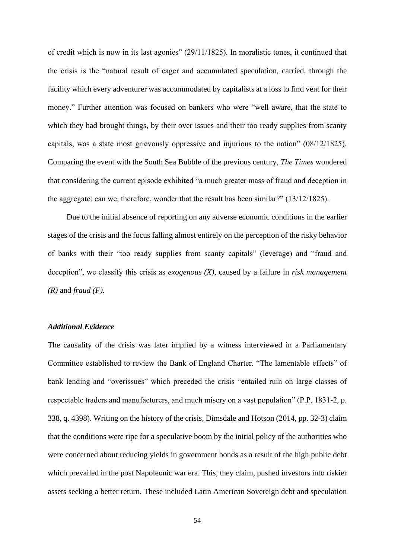of credit which is now in its last agonies" (29/11/1825). In moralistic tones, it continued that the crisis is the "natural result of eager and accumulated speculation, carried, through the facility which every adventurer was accommodated by capitalists at a loss to find vent for their money." Further attention was focused on bankers who were "well aware, that the state to which they had brought things, by their over issues and their too ready supplies from scanty capitals, was a state most grievously oppressive and injurious to the nation" (08/12/1825). Comparing the event with the South Sea Bubble of the previous century, *The Times* wondered that considering the current episode exhibited "a much greater mass of fraud and deception in the aggregate: can we, therefore, wonder that the result has been similar?" (13/12/1825).

Due to the initial absence of reporting on any adverse economic conditions in the earlier stages of the crisis and the focus falling almost entirely on the perception of the risky behavior of banks with their "too ready supplies from scanty capitals" (leverage) and "fraud and deception", we classify this crisis as *exogenous (X)*, caused by a failure in *risk management (R)* and *fraud (F).*

## *Additional Evidence*

The causality of the crisis was later implied by a witness interviewed in a Parliamentary Committee established to review the Bank of England Charter. "The lamentable effects" of bank lending and "overissues" which preceded the crisis "entailed ruin on large classes of respectable traders and manufacturers, and much misery on a vast population" (P.P. 1831-2, p. 338, q. 4398). Writing on the history of the crisis, Dimsdale and Hotson (2014, pp. 32-3) claim that the conditions were ripe for a speculative boom by the initial policy of the authorities who were concerned about reducing yields in government bonds as a result of the high public debt which prevailed in the post Napoleonic war era. This, they claim, pushed investors into riskier assets seeking a better return. These included Latin American Sovereign debt and speculation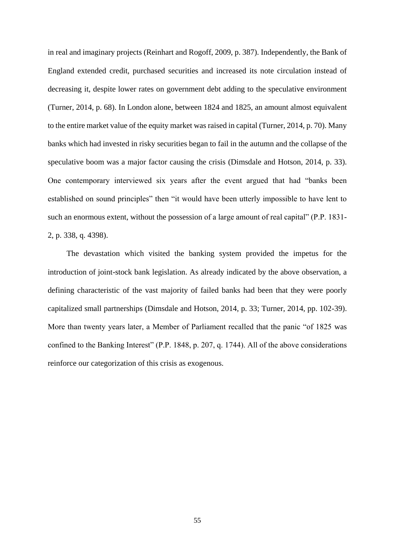in real and imaginary projects (Reinhart and Rogoff, 2009, p. 387). Independently, the Bank of England extended credit, purchased securities and increased its note circulation instead of decreasing it, despite lower rates on government debt adding to the speculative environment (Turner, 2014, p. 68). In London alone, between 1824 and 1825, an amount almost equivalent to the entire market value of the equity market was raised in capital (Turner, 2014, p. 70). Many banks which had invested in risky securities began to fail in the autumn and the collapse of the speculative boom was a major factor causing the crisis (Dimsdale and Hotson, 2014, p. 33). One contemporary interviewed six years after the event argued that had "banks been established on sound principles" then "it would have been utterly impossible to have lent to such an enormous extent, without the possession of a large amount of real capital" (P.P. 1831- 2, p. 338, q. 4398).

The devastation which visited the banking system provided the impetus for the introduction of joint-stock bank legislation. As already indicated by the above observation, a defining characteristic of the vast majority of failed banks had been that they were poorly capitalized small partnerships (Dimsdale and Hotson, 2014, p. 33; Turner, 2014, pp. 102-39). More than twenty years later, a Member of Parliament recalled that the panic "of 1825 was confined to the Banking Interest" (P.P. 1848, p. 207, q. 1744). All of the above considerations reinforce our categorization of this crisis as exogenous.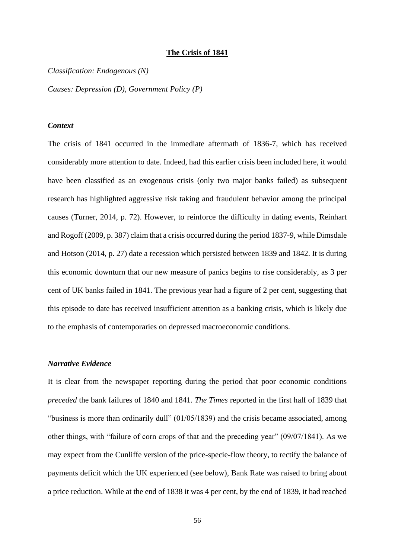#### **The Crisis of 1841**

*Classification: Endogenous (N)*

*Causes: Depression (D), Government Policy (P)*

## *Context*

The crisis of 1841 occurred in the immediate aftermath of 1836-7, which has received considerably more attention to date. Indeed, had this earlier crisis been included here, it would have been classified as an exogenous crisis (only two major banks failed) as subsequent research has highlighted aggressive risk taking and fraudulent behavior among the principal causes (Turner, 2014, p. 72). However, to reinforce the difficulty in dating events, Reinhart and Rogoff (2009, p. 387) claim that a crisis occurred during the period 1837-9, while Dimsdale and Hotson (2014, p. 27) date a recession which persisted between 1839 and 1842. It is during this economic downturn that our new measure of panics begins to rise considerably, as 3 per cent of UK banks failed in 1841. The previous year had a figure of 2 per cent, suggesting that this episode to date has received insufficient attention as a banking crisis, which is likely due to the emphasis of contemporaries on depressed macroeconomic conditions.

## *Narrative Evidence*

It is clear from the newspaper reporting during the period that poor economic conditions *preceded* the bank failures of 1840 and 1841. *The Times* reported in the first half of 1839 that "business is more than ordinarily dull" (01/05/1839) and the crisis became associated, among other things, with "failure of corn crops of that and the preceding year" (09/07/1841). As we may expect from the Cunliffe version of the price-specie-flow theory, to rectify the balance of payments deficit which the UK experienced (see below), Bank Rate was raised to bring about a price reduction. While at the end of 1838 it was 4 per cent, by the end of 1839, it had reached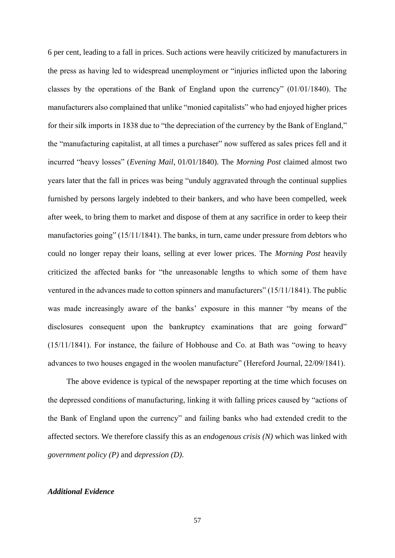6 per cent, leading to a fall in prices. Such actions were heavily criticized by manufacturers in the press as having led to widespread unemployment or "injuries inflicted upon the laboring classes by the operations of the Bank of England upon the currency" (01/01/1840). The manufacturers also complained that unlike "monied capitalists" who had enjoyed higher prices for their silk imports in 1838 due to "the depreciation of the currency by the Bank of England," the "manufacturing capitalist, at all times a purchaser" now suffered as sales prices fell and it incurred "heavy losses" (*Evening Mail*, 01/01/1840). The *Morning Post* claimed almost two years later that the fall in prices was being "unduly aggravated through the continual supplies furnished by persons largely indebted to their bankers, and who have been compelled, week after week, to bring them to market and dispose of them at any sacrifice in order to keep their manufactories going" (15/11/1841). The banks, in turn, came under pressure from debtors who could no longer repay their loans, selling at ever lower prices. The *Morning Post* heavily criticized the affected banks for "the unreasonable lengths to which some of them have ventured in the advances made to cotton spinners and manufacturers" (15/11/1841). The public was made increasingly aware of the banks' exposure in this manner "by means of the disclosures consequent upon the bankruptcy examinations that are going forward" (15/11/1841). For instance, the failure of Hobhouse and Co. at Bath was "owing to heavy advances to two houses engaged in the woolen manufacture" (Hereford Journal, 22/09/1841).

The above evidence is typical of the newspaper reporting at the time which focuses on the depressed conditions of manufacturing, linking it with falling prices caused by "actions of the Bank of England upon the currency" and failing banks who had extended credit to the affected sectors. We therefore classify this as an *endogenous crisis (N)* which was linked with *government policy (P)* and *depression (D)*.

## *Additional Evidence*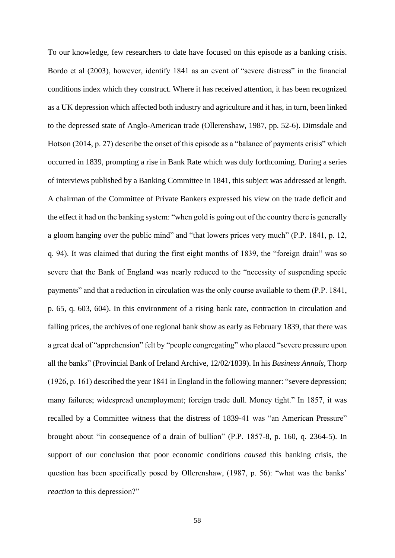To our knowledge, few researchers to date have focused on this episode as a banking crisis. Bordo et al (2003), however, identify 1841 as an event of "severe distress" in the financial conditions index which they construct. Where it has received attention, it has been recognized as a UK depression which affected both industry and agriculture and it has, in turn, been linked to the depressed state of Anglo-American trade (Ollerenshaw, 1987, pp. 52-6). Dimsdale and Hotson (2014, p. 27) describe the onset of this episode as a "balance of payments crisis" which occurred in 1839, prompting a rise in Bank Rate which was duly forthcoming. During a series of interviews published by a Banking Committee in 1841, this subject was addressed at length. A chairman of the Committee of Private Bankers expressed his view on the trade deficit and the effect it had on the banking system: "when gold is going out of the country there is generally a gloom hanging over the public mind" and "that lowers prices very much" (P.P. 1841, p. 12, q. 94). It was claimed that during the first eight months of 1839, the "foreign drain" was so severe that the Bank of England was nearly reduced to the "necessity of suspending specie payments" and that a reduction in circulation was the only course available to them (P.P. 1841, p. 65, q. 603, 604). In this environment of a rising bank rate, contraction in circulation and falling prices, the archives of one regional bank show as early as February 1839, that there was a great deal of "apprehension" felt by "people congregating" who placed "severe pressure upon all the banks" (Provincial Bank of Ireland Archive, 12/02/1839). In his *Business Annals,* Thorp (1926, p. 161) described the year 1841 in England in the following manner: "severe depression; many failures; widespread unemployment; foreign trade dull. Money tight." In 1857, it was recalled by a Committee witness that the distress of 1839-41 was "an American Pressure" brought about "in consequence of a drain of bullion" (P.P. 1857-8, p. 160, q. 2364-5). In support of our conclusion that poor economic conditions *caused* this banking crisis, the question has been specifically posed by Ollerenshaw, (1987, p. 56): "what was the banks' *reaction* to this depression?"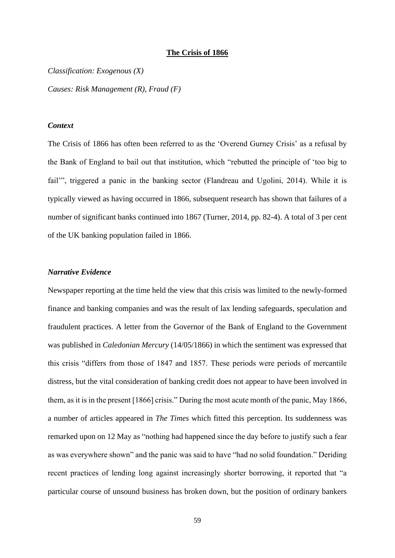## **The Crisis of 1866**

*Classification: Exogenous (X)*

*Causes: Risk Management (R), Fraud (F)*

## *Context*

The Crisis of 1866 has often been referred to as the 'Overend Gurney Crisis' as a refusal by the Bank of England to bail out that institution, which "rebutted the principle of 'too big to fail'", triggered a panic in the banking sector (Flandreau and Ugolini, 2014). While it is typically viewed as having occurred in 1866, subsequent research has shown that failures of a number of significant banks continued into 1867 (Turner, 2014, pp. 82-4). A total of 3 per cent of the UK banking population failed in 1866.

## *Narrative Evidence*

Newspaper reporting at the time held the view that this crisis was limited to the newly-formed finance and banking companies and was the result of lax lending safeguards, speculation and fraudulent practices. A letter from the Governor of the Bank of England to the Government was published in *Caledonian Mercury* (14/05/1866) in which the sentiment was expressed that this crisis "differs from those of 1847 and 1857. These periods were periods of mercantile distress, but the vital consideration of banking credit does not appear to have been involved in them, as it is in the present [1866] crisis." During the most acute month of the panic, May 1866, a number of articles appeared in *The Times* which fitted this perception. Its suddenness was remarked upon on 12 May as "nothing had happened since the day before to justify such a fear as was everywhere shown" and the panic was said to have "had no solid foundation." Deriding recent practices of lending long against increasingly shorter borrowing, it reported that "a particular course of unsound business has broken down, but the position of ordinary bankers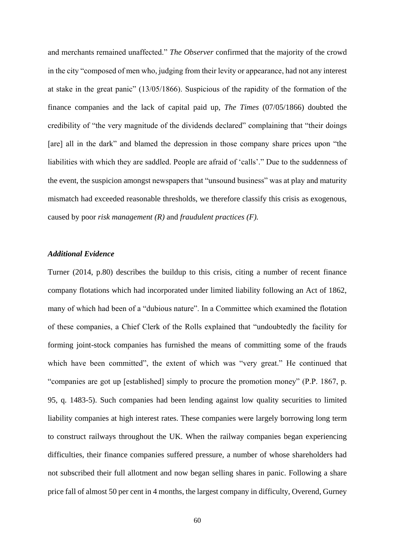and merchants remained unaffected." *The Observer* confirmed that the majority of the crowd in the city "composed of men who, judging from their levity or appearance, had not any interest at stake in the great panic" (13/05/1866). Suspicious of the rapidity of the formation of the finance companies and the lack of capital paid up, *The Times* (07/05/1866) doubted the credibility of "the very magnitude of the dividends declared" complaining that "their doings [are] all in the dark" and blamed the depression in those company share prices upon "the liabilities with which they are saddled. People are afraid of 'calls'." Due to the suddenness of the event, the suspicion amongst newspapers that "unsound business" was at play and maturity mismatch had exceeded reasonable thresholds, we therefore classify this crisis as exogenous, caused by poor *risk management (R)* and *fraudulent practices (F).*

## *Additional Evidence*

Turner (2014, p.80) describes the buildup to this crisis, citing a number of recent finance company flotations which had incorporated under limited liability following an Act of 1862, many of which had been of a "dubious nature". In a Committee which examined the flotation of these companies, a Chief Clerk of the Rolls explained that "undoubtedly the facility for forming joint-stock companies has furnished the means of committing some of the frauds which have been committed", the extent of which was "very great." He continued that "companies are got up [established] simply to procure the promotion money" (P.P. 1867, p. 95, q. 1483-5). Such companies had been lending against low quality securities to limited liability companies at high interest rates. These companies were largely borrowing long term to construct railways throughout the UK. When the railway companies began experiencing difficulties, their finance companies suffered pressure, a number of whose shareholders had not subscribed their full allotment and now began selling shares in panic. Following a share price fall of almost 50 per cent in 4 months, the largest company in difficulty, Overend, Gurney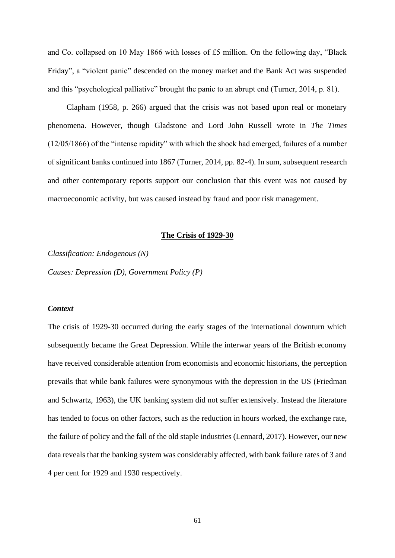and Co. collapsed on 10 May 1866 with losses of £5 million. On the following day, "Black Friday", a "violent panic" descended on the money market and the Bank Act was suspended and this "psychological palliative" brought the panic to an abrupt end (Turner, 2014, p. 81).

Clapham (1958, p. 266) argued that the crisis was not based upon real or monetary phenomena. However, though Gladstone and Lord John Russell wrote in *The Times* (12/05/1866) of the "intense rapidity" with which the shock had emerged, failures of a number of significant banks continued into 1867 (Turner, 2014, pp. 82-4). In sum, subsequent research and other contemporary reports support our conclusion that this event was not caused by macroeconomic activity, but was caused instead by fraud and poor risk management.

## **The Crisis of 1929-30**

*Classification: Endogenous (N)*

*Causes: Depression (D), Government Policy (P)*

## *Context*

The crisis of 1929-30 occurred during the early stages of the international downturn which subsequently became the Great Depression. While the interwar years of the British economy have received considerable attention from economists and economic historians, the perception prevails that while bank failures were synonymous with the depression in the US (Friedman and Schwartz, 1963), the UK banking system did not suffer extensively. Instead the literature has tended to focus on other factors, such as the reduction in hours worked, the exchange rate, the failure of policy and the fall of the old staple industries (Lennard, 2017). However, our new data reveals that the banking system was considerably affected, with bank failure rates of 3 and 4 per cent for 1929 and 1930 respectively.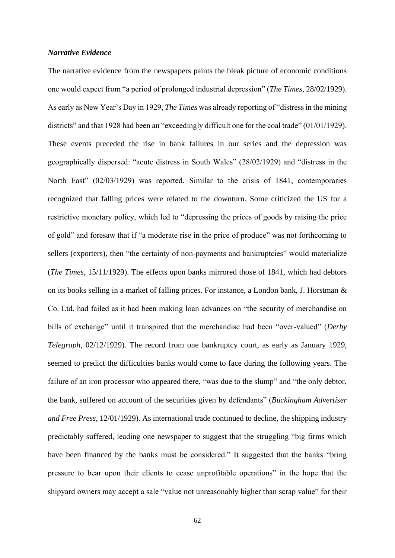## *Narrative Evidence*

The narrative evidence from the newspapers paints the bleak picture of economic conditions one would expect from "a period of prolonged industrial depression" (*The Times*, 28/02/1929). As early as New Year's Day in 1929, *The Times* was already reporting of "distress in the mining districts" and that 1928 had been an "exceedingly difficult one for the coal trade" (01/01/1929). These events preceded the rise in bank failures in our series and the depression was geographically dispersed: "acute distress in South Wales" (28/02/1929) and "distress in the North East" (02/03/1929) was reported. Similar to the crisis of 1841, contemporaries recognized that falling prices were related to the downturn. Some criticized the US for a restrictive monetary policy, which led to "depressing the prices of goods by raising the price of gold" and foresaw that if "a moderate rise in the price of produce" was not forthcoming to sellers (exporters), then "the certainty of non-payments and bankruptcies" would materialize (*The Times*, 15/11/1929). The effects upon banks mirrored those of 1841, which had debtors on its books selling in a market of falling prices. For instance, a London bank, J. Horstman & Co. Ltd. had failed as it had been making loan advances on "the security of merchandise on bills of exchange" until it transpired that the merchandise had been "over-valued" (*Derby Telegraph*, 02/12/1929). The record from one bankruptcy court, as early as January 1929, seemed to predict the difficulties banks would come to face during the following years. The failure of an iron processor who appeared there, "was due to the slump" and "the only debtor, the bank, suffered on account of the securities given by defendants" (*Buckingham Advertiser and Free Press*, 12/01/1929). As international trade continued to decline, the shipping industry predictably suffered, leading one newspaper to suggest that the struggling "big firms which have been financed by the banks must be considered." It suggested that the banks "bring pressure to bear upon their clients to cease unprofitable operations" in the hope that the shipyard owners may accept a sale "value not unreasonably higher than scrap value" for their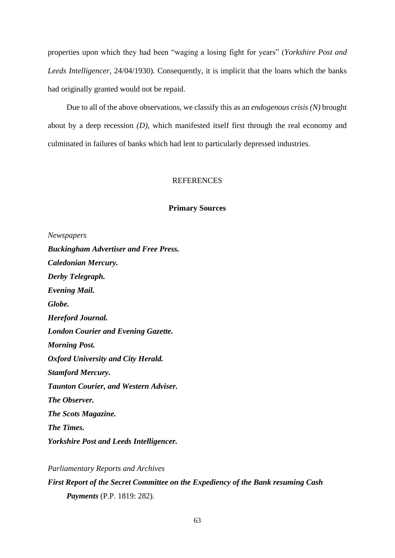properties upon which they had been "waging a losing fight for years" (*Yorkshire Post and Leeds Intelligencer*, 24/04/1930). Consequently, it is implicit that the loans which the banks had originally granted would not be repaid.

Due to all of the above observations, we classify this as an *endogenous crisis (N)* brought about by a deep recession *(D)*, which manifested itself first through the real economy and culminated in failures of banks which had lent to particularly depressed industries.

## **REFERENCES**

### **Primary Sources**

*Newspapers Buckingham Advertiser and Free Press. Caledonian Mercury. Derby Telegraph. Evening Mail. Globe. Hereford Journal. London Courier and Evening Gazette. Morning Post. Oxford University and City Herald. Stamford Mercury. Taunton Courier, and Western Adviser. The Observer. The Scots Magazine. The Times. Yorkshire Post and Leeds Intelligencer.*

*Parliamentary Reports and Archives First Report of the Secret Committee on the Expediency of the Bank resuming Cash Payments* (P.P. 1819: 282).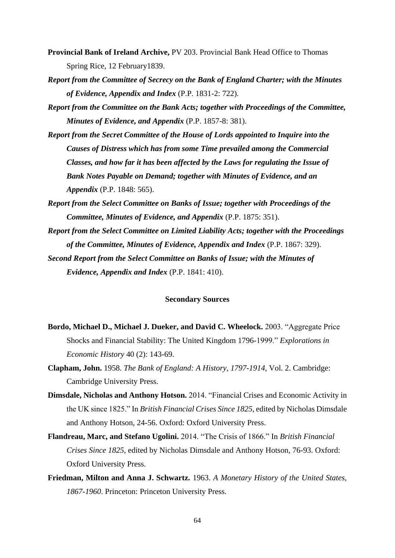- **Provincial Bank of Ireland Archive,** PV 203. Provincial Bank Head Office to Thomas Spring Rice, 12 February1839.
- *Report from the Committee of Secrecy on the Bank of England Charter; with the Minutes of Evidence, Appendix and Index* (P.P. 1831-2: 722).
- *Report from the Committee on the Bank Acts; together with Proceedings of the Committee, Minutes of Evidence, and Appendix* (P.P. 1857-8: 381).
- *Report from the Secret Committee of the House of Lords appointed to Inquire into the Causes of Distress which has from some Time prevailed among the Commercial Classes, and how far it has been affected by the Laws for regulating the Issue of Bank Notes Payable on Demand; together with Minutes of Evidence, and an Appendix* (P.P. 1848: 565).
- *Report from the Select Committee on Banks of Issue; together with Proceedings of the Committee, Minutes of Evidence, and Appendix* (P.P. 1875: 351).
- *Report from the Select Committee on Limited Liability Acts; together with the Proceedings of the Committee, Minutes of Evidence, Appendix and Index* (P.P. 1867: 329).
- *Second Report from the Select Committee on Banks of Issue; with the Minutes of Evidence, Appendix and Index* (P.P. 1841: 410).

#### **Secondary Sources**

- **Bordo, Michael D., Michael J. Dueker, and David C. Wheelock.** 2003. "Aggregate Price Shocks and Financial Stability: The United Kingdom 1796-1999." *Explorations in Economic History* 40 (2): 143-69.
- **Clapham, John.** 1958. *The Bank of England: A History, 1797-1914,* Vol. 2. Cambridge: Cambridge University Press.
- **Dimsdale, Nicholas and Anthony Hotson.** 2014. "Financial Crises and Economic Activity in the UK since 1825." In *British Financial Crises Since 1825*, edited by Nicholas Dimsdale and Anthony Hotson, 24-56. Oxford: Oxford University Press.
- **Flandreau, Marc, and Stefano Ugolini.** 2014. "The Crisis of 1866." In *British Financial Crises Since 1825*, edited by Nicholas Dimsdale and Anthony Hotson, 76-93. Oxford: Oxford University Press.
- **Friedman, Milton and Anna J. Schwartz.** 1963. *A Monetary History of the United States, 1867-1960*. Princeton: Princeton University Press.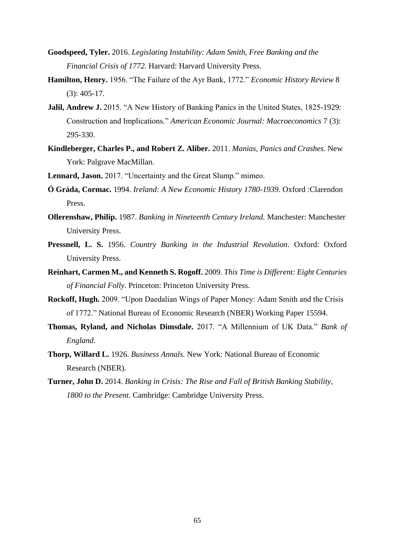- **Goodspeed, Tyler.** 2016. *Legislating Instability: Adam Smith, Free Banking and the Financial Crisis of 1772*. Harvard: Harvard University Press.
- **Hamilton, Henry.** 1956. "The Failure of the Ayr Bank, 1772." *Economic History Review* 8 (3): 405-17.
- **Jalil, Andrew J.** 2015. "A New History of Banking Panics in the United States, 1825-1929: Construction and Implications." *American Economic Journal: Macroeconomics* 7 (3): 295-330.
- **Kindleberger, Charles P., and Robert Z. Aliber.** 2011. *Manias, Panics and Crashes.* New York: Palgrave MacMillan.
- **Lennard, Jason.** 2017. "Uncertainty and the Great Slump." mimeo.
- **Ó Gráda, Cormac.** 1994. *Ireland: A New Economic History 1780-1939.* Oxford :Clarendon Press.
- **Ollerenshaw, Philip.** 1987. *Banking in Nineteenth Century Ireland.* Manchester: Manchester University Press.
- **Pressnell, L. S.** 1956. *Country Banking in the Industrial Revolution*. Oxford: Oxford University Press.
- **Reinhart, Carmen M., and Kenneth S. Rogoff.** 2009. *This Time is Different: Eight Centuries of Financial Folly*. Princeton: Princeton University Press.
- **Rockoff, Hugh.** 2009. "Upon Daedalian Wings of Paper Money: Adam Smith and the Crisis of 1772." National Bureau of Economic Research (NBER) Working Paper 15594.
- **Thomas, Ryland, and Nicholas Dimsdale.** 2017. "A Millennium of UK Data." *Bank of England*.
- **Thorp, Willard L.** 1926. *Business Annals.* New York: National Bureau of Economic Research (NBER).
- **Turner, John D.** 2014. *Banking in Crisis: The Rise and Fall of British Banking Stability, 1800 to the Present*. Cambridge: Cambridge University Press.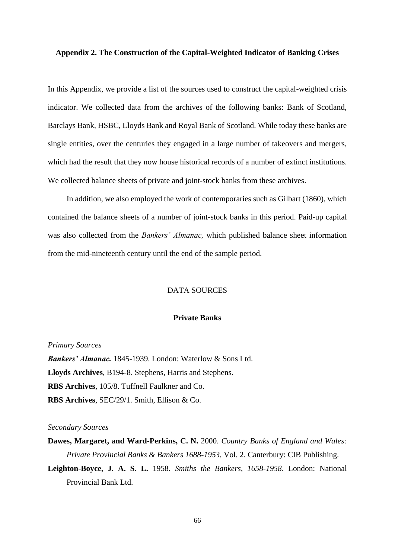## **Appendix 2. The Construction of the Capital-Weighted Indicator of Banking Crises**

In this Appendix, we provide a list of the sources used to construct the capital-weighted crisis indicator. We collected data from the archives of the following banks: Bank of Scotland, Barclays Bank, HSBC, Lloyds Bank and Royal Bank of Scotland. While today these banks are single entities, over the centuries they engaged in a large number of takeovers and mergers, which had the result that they now house historical records of a number of extinct institutions. We collected balance sheets of private and joint-stock banks from these archives.

In addition, we also employed the work of contemporaries such as Gilbart (1860), which contained the balance sheets of a number of joint-stock banks in this period. Paid-up capital was also collected from the *Bankers' Almanac,* which published balance sheet information from the mid-nineteenth century until the end of the sample period.

## DATA SOURCES

## **Private Banks**

*Primary Sources Bankers' Almanac.* 1845-1939. London: Waterlow & Sons Ltd. **Lloyds Archives**, B194-8. Stephens, Harris and Stephens. **RBS Archives**, 105/8. Tuffnell Faulkner and Co. **RBS Archives**, SEC/29/1. Smith, Ellison & Co.

#### *Secondary Sources*

- **Dawes, Margaret, and Ward-Perkins, C. N.** 2000. *Country Banks of England and Wales: Private Provincial Banks & Bankers 1688-1953*, Vol. 2. Canterbury: CIB Publishing.
- **Leighton-Boyce, J. A. S. L.** 1958. *Smiths the Bankers*, *1658-1958*. London: National Provincial Bank Ltd.